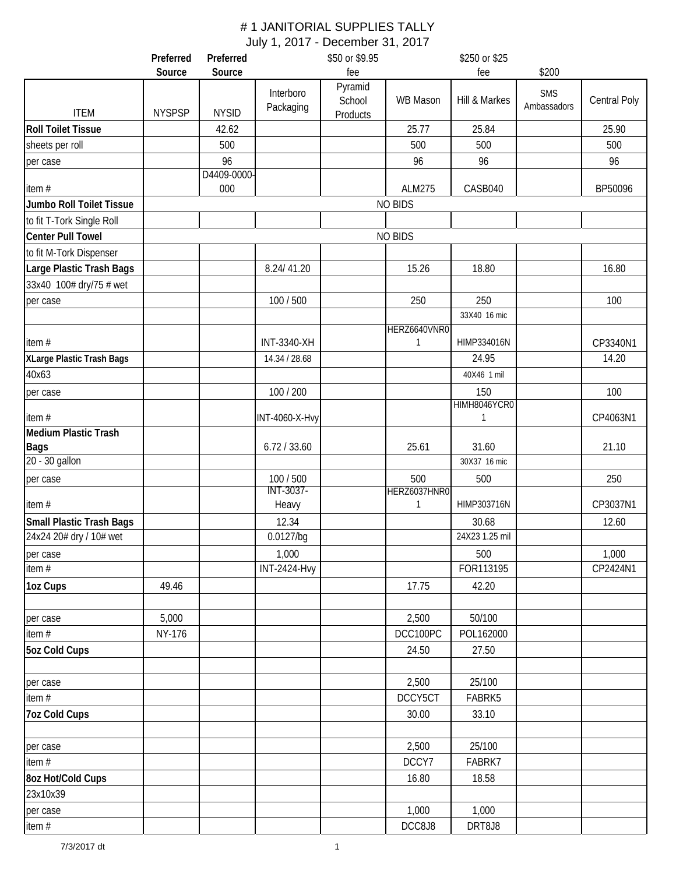|                                                            | Preferred     | Preferred    |                        | \$50 or \$9.95                |                | \$250 or \$25           |                           |              |
|------------------------------------------------------------|---------------|--------------|------------------------|-------------------------------|----------------|-------------------------|---------------------------|--------------|
|                                                            | Source        | Source       |                        | fee                           |                | fee                     | \$200                     |              |
| <b>ITEM</b>                                                | <b>NYSPSP</b> | <b>NYSID</b> | Interboro<br>Packaging | Pyramid<br>School<br>Products | WB Mason       | Hill & Markes           | <b>SMS</b><br>Ambassadors | Central Poly |
| <b>Roll Toilet Tissue</b>                                  |               | 42.62        |                        |                               | 25.77          | 25.84                   |                           | 25.90        |
| sheets per roll                                            |               | 500          |                        |                               | 500            | 500                     |                           | 500          |
| per case                                                   |               | 96           |                        |                               | 96             | 96                      |                           | 96           |
|                                                            |               | D4409-0000-  |                        |                               |                |                         |                           |              |
| item#                                                      |               | 000          |                        |                               | <b>ALM275</b>  | CASB040                 |                           | BP50096      |
| Jumbo Roll Toilet Tissue                                   |               |              |                        |                               | <b>NO BIDS</b> |                         |                           |              |
| to fit T-Tork Single Roll                                  |               |              |                        |                               |                |                         |                           |              |
| <b>Center Pull Towel</b>                                   |               |              |                        |                               | <b>NO BIDS</b> |                         |                           |              |
| to fit M-Tork Dispenser                                    |               |              |                        |                               |                |                         |                           |              |
| Large Plastic Trash Bags                                   |               |              | 8.24/41.20             |                               | 15.26          | 18.80                   |                           | 16.80        |
| 33x40 100# dry/75 # wet                                    |               |              |                        |                               |                |                         |                           |              |
| per case                                                   |               |              | 100 / 500              |                               | 250            | 250                     |                           | 100          |
|                                                            |               |              |                        |                               |                | 33X40 16 mic            |                           |              |
|                                                            |               |              |                        |                               | HERZ6640VNR0   |                         |                           |              |
| item#                                                      |               |              | INT-3340-XH            |                               | 1              | HIMP334016N             |                           | CP3340N1     |
| XLarge Plastic Trash Bags                                  |               |              | 14.34 / 28.68          |                               |                | 24.95                   |                           | 14.20        |
| 40x63                                                      |               |              |                        |                               |                | 40X46 1 mil             |                           |              |
| per case                                                   |               |              | 100 / 200              |                               |                | 150                     |                           | 100          |
| item#                                                      |               |              | <b>INT-4060-X-Hvy</b>  |                               |                | HIMH8046YCR0<br>1       |                           | CP4063N1     |
| <b>Medium Plastic Trash</b>                                |               |              |                        |                               |                |                         |                           |              |
| <b>Bags</b>                                                |               |              | 6.72 / 33.60           |                               | 25.61          | 31.60                   |                           | 21.10        |
| 20 - 30 gallon                                             |               |              |                        |                               |                | 30X37 16 mic            |                           |              |
| per case                                                   |               |              | 100 / 500              |                               | 500            | 500                     |                           | 250          |
|                                                            |               |              | INT-3037-              |                               | HERZ6037HNR0   |                         |                           |              |
| item#                                                      |               |              | Heavy                  |                               | 1              | HIMP303716N             |                           | CP3037N1     |
| <b>Small Plastic Trash Bags</b><br>24x24 20# dry / 10# wet |               |              | 12.34<br>0.0127/bg     |                               |                | 30.68<br>24X23 1.25 mil |                           | 12.60        |
| per case                                                   |               |              | 1,000                  |                               |                | 500                     |                           | 1,000        |
| item $#$                                                   |               |              | <b>INT-2424-Hvy</b>    |                               |                | FOR113195               |                           | CP2424N1     |
| 1oz Cups                                                   | 49.46         |              |                        |                               | 17.75          | 42.20                   |                           |              |
| per case                                                   | 5,000         |              |                        |                               | 2,500          | 50/100                  |                           |              |
| item $#$                                                   | NY-176        |              |                        |                               | DCC100PC       | POL162000               |                           |              |
| <b>5oz Cold Cups</b>                                       |               |              |                        |                               | 24.50          | 27.50                   |                           |              |
|                                                            |               |              |                        |                               |                |                         |                           |              |
| per case                                                   |               |              |                        |                               | 2,500          | 25/100                  |                           |              |
| item $#$                                                   |               |              |                        |                               | DCCY5CT        | FABRK5                  |                           |              |
| <b>7oz Cold Cups</b>                                       |               |              |                        |                               | 30.00          | 33.10                   |                           |              |
|                                                            |               |              |                        |                               |                |                         |                           |              |
| per case                                                   |               |              |                        |                               | 2,500          | 25/100                  |                           |              |
| item $#$                                                   |               |              |                        |                               | DCCY7          | FABRK7                  |                           |              |
| 8oz Hot/Cold Cups                                          |               |              |                        |                               | 16.80          | 18.58                   |                           |              |
| 23x10x39                                                   |               |              |                        |                               |                |                         |                           |              |
| per case                                                   |               |              |                        |                               | 1,000          | 1,000                   |                           |              |
| item $#$                                                   |               |              |                        |                               | DCC8J8         | DRT8J8                  |                           |              |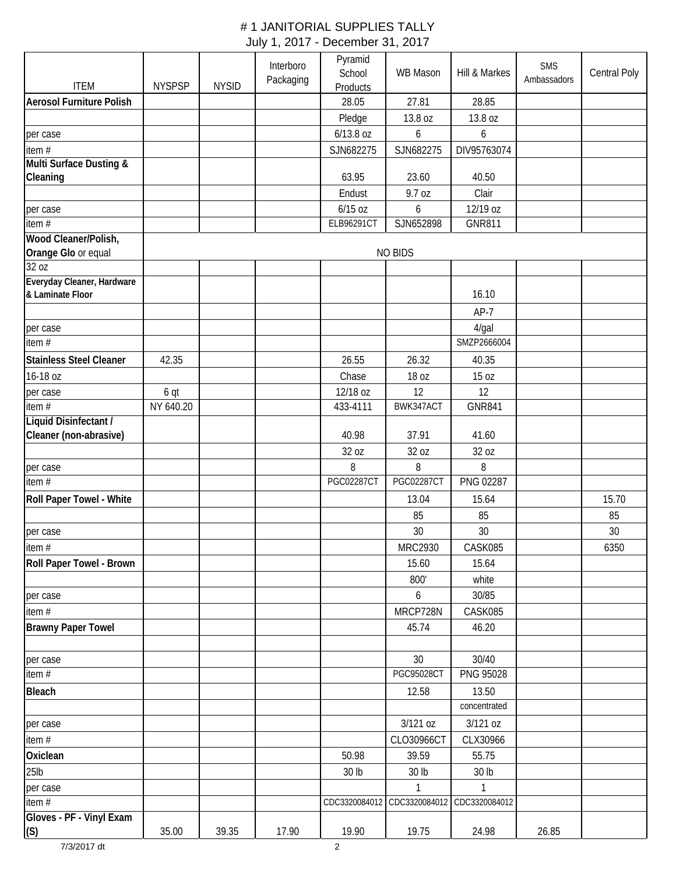| <b>ITEM</b>                         | <b>NYSPSP</b> | <b>NYSID</b> | Interboro<br>Packaging | Pyramid<br>School<br>Products | WB Mason          | Hill & Markes | <b>SMS</b><br>Ambassadors | Central Poly |
|-------------------------------------|---------------|--------------|------------------------|-------------------------------|-------------------|---------------|---------------------------|--------------|
| <b>Aerosol Furniture Polish</b>     |               |              |                        | 28.05                         | 27.81             | 28.85         |                           |              |
|                                     |               |              |                        | Pledge                        | 13.8 oz           | 13.8 oz       |                           |              |
| per case                            |               |              |                        | 6/13.8 oz                     | 6                 | 6             |                           |              |
| item $#$                            |               |              |                        | SJN682275                     | SJN682275         | DIV95763074   |                           |              |
| Multi Surface Dusting &             |               |              |                        |                               |                   |               |                           |              |
| Cleaning                            |               |              |                        | 63.95                         | 23.60             | 40.50         |                           |              |
|                                     |               |              |                        | Endust                        | 9.7 oz            | Clair         |                           |              |
| per case                            |               |              |                        | $6/15$ oz                     | 6                 | 12/19 oz      |                           |              |
| item#                               |               |              |                        | <b>ELB96291CT</b>             | SJN652898         | <b>GNR811</b> |                           |              |
| Wood Cleaner/Polish,                |               |              |                        |                               |                   |               |                           |              |
| Orange Glo or equal                 |               |              |                        |                               | NO BIDS           |               |                           |              |
| 32 oz<br>Everyday Cleaner, Hardware |               |              |                        |                               |                   |               |                           |              |
| & Laminate Floor                    |               |              |                        |                               |                   | 16.10         |                           |              |
|                                     |               |              |                        |                               |                   | $AP-7$        |                           |              |
| per case                            |               |              |                        |                               |                   | 4/gal         |                           |              |
| item #                              |               |              |                        |                               |                   | SMZP2666004   |                           |              |
| <b>Stainless Steel Cleaner</b>      | 42.35         |              |                        | 26.55                         | 26.32             | 40.35         |                           |              |
| 16-18 oz                            |               |              |                        | Chase                         | 18 oz             | 15 oz         |                           |              |
| per case                            | 6 qt          |              |                        | 12/18 oz                      | 12                | 12            |                           |              |
| item #                              | NY 640.20     |              |                        | 433-4111                      | BWK347ACT         | <b>GNR841</b> |                           |              |
| Liquid Disinfectant /               |               |              |                        |                               |                   |               |                           |              |
| Cleaner (non-abrasive)              |               |              |                        | 40.98                         | 37.91             | 41.60         |                           |              |
|                                     |               |              |                        | 32 oz                         | 32 oz             | 32 oz         |                           |              |
| per case                            |               |              |                        | 8                             | 8                 | 8             |                           |              |
| item $#$                            |               |              |                        | <b>PGC02287CT</b>             | <b>PGC02287CT</b> | PNG 02287     |                           |              |
| Roll Paper Towel - White            |               |              |                        |                               | 13.04             | 15.64         |                           | 15.70        |
|                                     |               |              |                        |                               | 85                | 85            |                           | 85           |
| per case                            |               |              |                        |                               | 30                | 30            |                           | 30           |
| item #                              |               |              |                        |                               | MRC2930           | CASK085       |                           | 6350         |
| <b>Roll Paper Towel - Brown</b>     |               |              |                        |                               | 15.60             | 15.64         |                           |              |
|                                     |               |              |                        |                               | 800'              | white         |                           |              |
| per case                            |               |              |                        |                               | 6                 | 30/85         |                           |              |
| item $#$                            |               |              |                        |                               | MRCP728N          | CASK085       |                           |              |
| <b>Brawny Paper Towel</b>           |               |              |                        |                               | 45.74             | 46.20         |                           |              |
|                                     |               |              |                        |                               |                   |               |                           |              |
| per case                            |               |              |                        |                               | 30                | 30/40         |                           |              |
| item $#$                            |               |              |                        |                               | PGC95028CT        | PNG 95028     |                           |              |
| <b>Bleach</b>                       |               |              |                        |                               | 12.58             | 13.50         |                           |              |
|                                     |               |              |                        |                               |                   | concentrated  |                           |              |
| per case                            |               |              |                        |                               | 3/121 oz          | 3/121 oz      |                           |              |
| item #                              |               |              |                        |                               | CLO30966CT        | CLX30966      |                           |              |
| Oxiclean                            |               |              |                        | 50.98                         | 39.59             | 55.75         |                           |              |
| $25$ lb                             |               |              |                        | 30 lb                         | 30 lb             | 30 lb         |                           |              |
| per case                            |               |              |                        |                               | 1                 | 1             |                           |              |
| item#                               |               |              |                        | CDC3320084012                 | CDC3320084012     | CDC3320084012 |                           |              |
| Gloves - PF - Vinyl Exam            |               |              |                        |                               |                   |               |                           |              |
| (S)                                 | 35.00         | 39.35        | 17.90                  | 19.90                         | 19.75             | 24.98         | 26.85                     |              |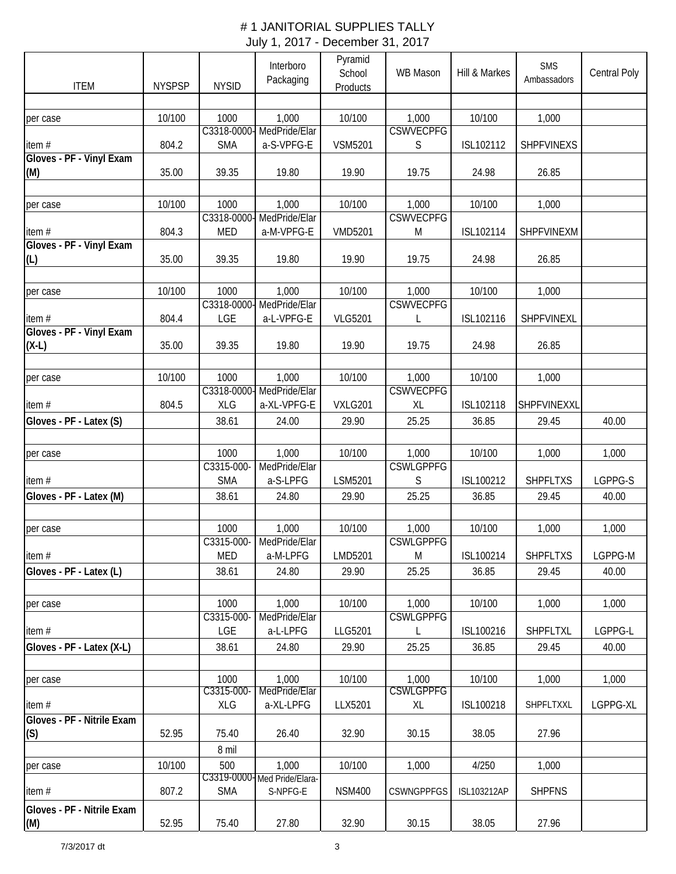| <b>ITEM</b>                | <b>NYSPSP</b> | <b>NYSID</b>        | Interboro<br>Packaging               | Pyramid<br>School<br>Products | WB Mason                  | Hill & Markes      | <b>SMS</b><br>Ambassadors | Central Poly |
|----------------------------|---------------|---------------------|--------------------------------------|-------------------------------|---------------------------|--------------------|---------------------------|--------------|
|                            |               |                     |                                      |                               |                           |                    |                           |              |
| per case                   | 10/100        | 1000                | 1,000                                | 10/100                        | 1,000                     | 10/100             | 1,000                     |              |
|                            |               | C3318-0000-         | MedPride/Elar                        |                               | <b>CSWVECPFG</b>          |                    |                           |              |
| item#                      | 804.2         | <b>SMA</b>          | a-S-VPFG-E                           | <b>VSM5201</b>                | S                         | ISL102112          | SHPFVINEXS                |              |
| Gloves - PF - Vinyl Exam   |               |                     |                                      |                               |                           |                    |                           |              |
| (M)                        | 35.00         | 39.35               | 19.80                                | 19.90                         | 19.75                     | 24.98              | 26.85                     |              |
|                            |               |                     |                                      |                               |                           |                    |                           |              |
| per case                   | 10/100        | 1000                | 1,000                                | 10/100                        | 1,000                     | 10/100             | 1,000                     |              |
|                            |               | C3318-0000-         | MedPride/Elar                        |                               | <b>CSWVECPFG</b>          |                    |                           |              |
| item#                      | 804.3         | <b>MED</b>          | a-M-VPFG-E                           | <b>VMD5201</b>                | M                         | ISL102114          | <b>SHPFVINEXM</b>         |              |
| Gloves - PF - Vinyl Exam   |               |                     |                                      |                               |                           |                    |                           |              |
| (L)                        | 35.00         | 39.35               | 19.80                                | 19.90                         | 19.75                     | 24.98              | 26.85                     |              |
|                            |               |                     |                                      |                               |                           |                    |                           |              |
| per case                   | 10/100        | 1000<br>C3318-0000- | 1,000<br>MedPride/Elar               | 10/100                        | 1,000<br><b>CSWVECPFG</b> | 10/100             | 1,000                     |              |
| item#                      | 804.4         | LGE                 | a-L-VPFG-E                           | <b>VLG5201</b>                | L                         | ISL102116          | SHPFVINEXL                |              |
| Gloves - PF - Vinyl Exam   |               |                     |                                      |                               |                           |                    |                           |              |
| $(X-L)$                    | 35.00         | 39.35               | 19.80                                | 19.90                         | 19.75                     | 24.98              | 26.85                     |              |
|                            |               |                     |                                      |                               |                           |                    |                           |              |
| per case                   | 10/100        | 1000                | 1,000                                | 10/100                        | 1,000                     | 10/100             | 1,000                     |              |
|                            |               | C3318-0000-         | MedPride/Elar                        |                               | <b>CSWVECPFG</b>          |                    |                           |              |
| item#                      | 804.5         | <b>XLG</b>          | a-XL-VPFG-E                          | VXLG201                       | XL                        | ISL102118          | <b>SHPFVINEXXL</b>        |              |
| Gloves - PF - Latex (S)    |               | 38.61               | 24.00                                | 29.90                         | 25.25                     | 36.85              | 29.45                     | 40.00        |
|                            |               |                     |                                      |                               |                           |                    |                           |              |
| per case                   |               | 1000                | 1,000                                | 10/100                        | 1,000                     | 10/100             | 1,000                     | 1,000        |
|                            |               | C3315-000-          | MedPride/Elar                        |                               | <b>CSWLGPPFG</b>          |                    |                           |              |
| item #                     |               | <b>SMA</b>          | a-S-LPFG                             | LSM5201                       | S                         | ISL100212          | <b>SHPFLTXS</b>           | LGPPG-S      |
| Gloves - PF - Latex (M)    |               | 38.61               | 24.80                                | 29.90                         | 25.25                     | 36.85              | 29.45                     | 40.00        |
|                            |               |                     |                                      |                               |                           |                    |                           |              |
| per case                   |               | 1000                | 1,000                                | 10/100                        | 1,000                     | 10/100             | 1,000                     | 1,000        |
|                            |               | C3315-000-          | MedPride/Elar                        |                               | <b>CSWLGPPFG</b>          |                    |                           |              |
| item#                      |               | <b>MED</b>          | a-M-LPFG                             | LMD5201                       | M                         | ISL100214          | <b>SHPFLTXS</b>           | LGPPG-M      |
| Gloves - PF - Latex (L)    |               | 38.61               | 24.80                                | 29.90                         | 25.25                     | 36.85              | 29.45                     | 40.00        |
|                            |               |                     |                                      |                               |                           |                    |                           |              |
| per case                   |               | 1000                | 1,000                                | 10/100                        | 1,000                     | 10/100             | 1,000                     | 1,000        |
|                            |               | C3315-000-          | MedPride/Elar                        |                               | <b>CSWLGPPFG</b>          |                    |                           |              |
| item $#$                   |               | LGE                 | a-L-LPFG                             | LLG5201                       | L                         | ISL100216          | <b>SHPFLTXL</b>           | LGPPG-L      |
| Gloves - PF - Latex (X-L)  |               | 38.61               | 24.80                                | 29.90                         | 25.25                     | 36.85              | 29.45                     | 40.00        |
|                            |               |                     |                                      |                               |                           |                    |                           |              |
| per case                   |               | 1000                | 1,000                                | 10/100                        | 1,000                     | 10/100             | 1,000                     | 1,000        |
|                            |               | C3315-000-          | MedPride/Elar                        |                               | <b>CSWLGPPFG</b>          |                    |                           |              |
| item #                     |               | <b>XLG</b>          | a-XL-LPFG                            | LLX5201                       | XL                        | ISL100218          | SHPFLTXXL                 | LGPPG-XL     |
| Gloves - PF - Nitrile Exam |               |                     |                                      |                               |                           |                    |                           |              |
| (S)                        | 52.95         | 75.40               | 26.40                                | 32.90                         | 30.15                     | 38.05              | 27.96                     |              |
|                            |               | 8 mil               |                                      |                               |                           |                    |                           |              |
| per case                   | 10/100        | 500                 | 1,000<br>C3319-0000-Med Pride/Elara- | 10/100                        | 1,000                     | 4/250              | 1,000                     |              |
| item#                      | 807.2         | <b>SMA</b>          | S-NPFG-E                             | <b>NSM400</b>                 | <b>CSWNGPPFGS</b>         | <b>ISL103212AP</b> | <b>SHPFNS</b>             |              |
| Gloves - PF - Nitrile Exam |               |                     |                                      |                               |                           |                    |                           |              |
| (M)                        | 52.95         | 75.40               | 27.80                                | 32.90                         | 30.15                     | 38.05              | 27.96                     |              |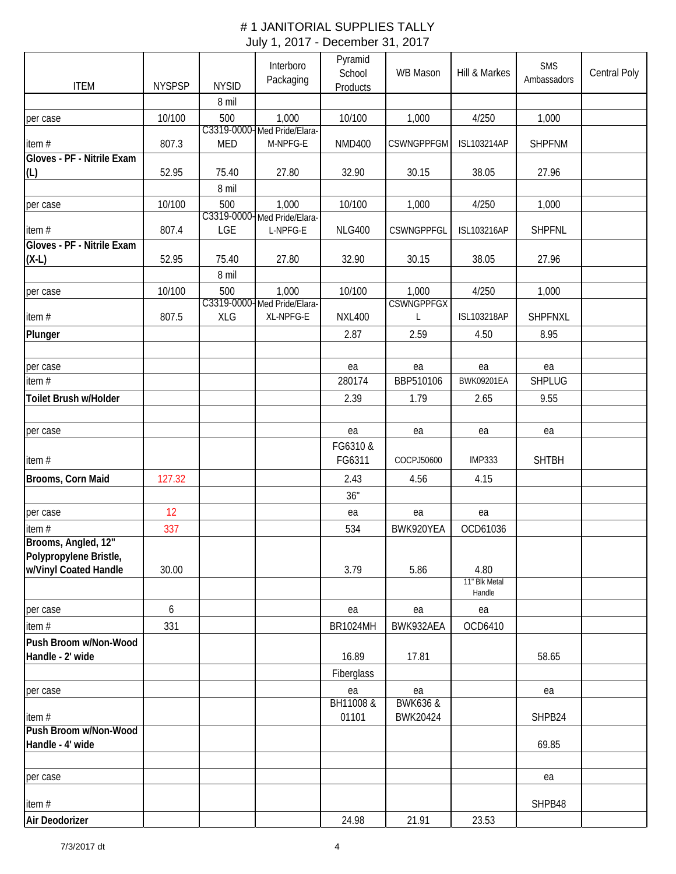| <b>ITEM</b>                                   | <b>NYSPSP</b> | <b>NYSID</b> | Interboro<br>Packaging                  | Pyramid<br>School<br><b>Products</b> | WB Mason            | Hill & Markes         | <b>SMS</b><br>Ambassadors | Central Poly |
|-----------------------------------------------|---------------|--------------|-----------------------------------------|--------------------------------------|---------------------|-----------------------|---------------------------|--------------|
|                                               |               | 8 mil        |                                         |                                      |                     |                       |                           |              |
| per case                                      | 10/100        | 500          | 1,000                                   | 10/100                               | 1,000               | 4/250                 | 1,000                     |              |
| item#                                         | 807.3         | <b>MED</b>   | C3319-0000-Med Pride/Elara-<br>M-NPFG-E | <b>NMD400</b>                        | <b>CSWNGPPFGM</b>   | ISL103214AP           | <b>SHPFNM</b>             |              |
| Gloves - PF - Nitrile Exam                    |               |              |                                         |                                      |                     |                       |                           |              |
| (L)                                           | 52.95         | 75.40        | 27.80                                   | 32.90                                | 30.15               | 38.05                 | 27.96                     |              |
|                                               |               | 8 mil        |                                         |                                      |                     |                       |                           |              |
| per case                                      | 10/100        | 500          | 1,000<br>C3319-0000-Med Pride/Elara-    | 10/100                               | 1,000               | 4/250                 | 1,000                     |              |
| item#                                         | 807.4         | LGE          | L-NPFG-E                                | <b>NLG400</b>                        | CSWNGPPFGL          | <b>ISL103216AP</b>    | <b>SHPFNL</b>             |              |
| Gloves - PF - Nitrile Exam                    |               |              |                                         |                                      |                     |                       |                           |              |
| $(X-L)$                                       | 52.95         | 75.40        | 27.80                                   | 32.90                                | 30.15               | 38.05                 | 27.96                     |              |
|                                               |               | 8 mil        |                                         |                                      |                     |                       |                           |              |
| per case                                      | 10/100        | 500          | 1,000                                   | 10/100                               | 1,000               | 4/250                 | 1,000                     |              |
|                                               |               |              | C3319-0000-Med Pride/Elara-             |                                      | <b>CSWNGPPFGX</b>   |                       |                           |              |
| item#                                         | 807.5         | <b>XLG</b>   | XL-NPFG-E                               | <b>NXL400</b>                        | L                   | <b>ISL103218AP</b>    | SHPFNXL                   |              |
| Plunger                                       |               |              |                                         | 2.87                                 | 2.59                | 4.50                  | 8.95                      |              |
|                                               |               |              |                                         |                                      |                     |                       |                           |              |
| per case                                      |               |              |                                         | ea                                   | ea                  | ea                    | ea                        |              |
| item #                                        |               |              |                                         | 280174                               | BBP510106           | <b>BWK09201EA</b>     | <b>SHPLUG</b>             |              |
| Toilet Brush w/Holder                         |               |              |                                         | 2.39                                 | 1.79                | 2.65                  | 9.55                      |              |
|                                               |               |              |                                         |                                      |                     |                       |                           |              |
| per case                                      |               |              |                                         | ea                                   | ea                  | ea                    | ea                        |              |
|                                               |               |              |                                         | FG6310 &                             |                     |                       |                           |              |
| item#                                         |               |              |                                         | FG6311                               | COCPJ50600          | <b>IMP333</b>         | <b>SHTBH</b>              |              |
| Brooms, Corn Maid                             | 127.32        |              |                                         | 2.43<br>36"                          | 4.56                | 4.15                  |                           |              |
| per case                                      | 12            |              |                                         | ea                                   | ea                  | ea                    |                           |              |
| item#                                         | 337           |              |                                         | 534                                  | BWK920YEA           | OCD61036              |                           |              |
| Brooms, Angled, 12"<br>Polypropylene Bristle, |               |              |                                         |                                      |                     |                       |                           |              |
| w/Vinyl Coated Handle                         | 30.00         |              |                                         | 3.79                                 | 5.86                | 4.80<br>11" Blk Metal |                           |              |
|                                               |               |              |                                         |                                      |                     | Handle                |                           |              |
| per case                                      | 6             |              |                                         | ea                                   | ea                  | ea                    |                           |              |
| item #                                        | 331           |              |                                         | <b>BR1024MH</b>                      | BWK932AEA           | OCD6410               |                           |              |
| Push Broom w/Non-Wood                         |               |              |                                         |                                      |                     |                       |                           |              |
| Handle - 2' wide                              |               |              |                                         | 16.89                                | 17.81               |                       | 58.65                     |              |
|                                               |               |              |                                         | Fiberglass                           |                     |                       |                           |              |
| per case                                      |               |              |                                         | ea                                   | ea                  |                       | ea                        |              |
|                                               |               |              |                                         | BH11008 &                            | <b>BWK636 &amp;</b> |                       |                           |              |
| item#                                         |               |              |                                         | 01101                                | BWK20424            |                       | SHPB24                    |              |
| Push Broom w/Non-Wood<br>Handle - 4' wide     |               |              |                                         |                                      |                     |                       | 69.85                     |              |
|                                               |               |              |                                         |                                      |                     |                       |                           |              |
| per case                                      |               |              |                                         |                                      |                     |                       | ea                        |              |
|                                               |               |              |                                         |                                      |                     |                       |                           |              |
| item#                                         |               |              |                                         |                                      |                     |                       | SHPB48                    |              |
| Air Deodorizer                                |               |              |                                         | 24.98                                | 21.91               | 23.53                 |                           |              |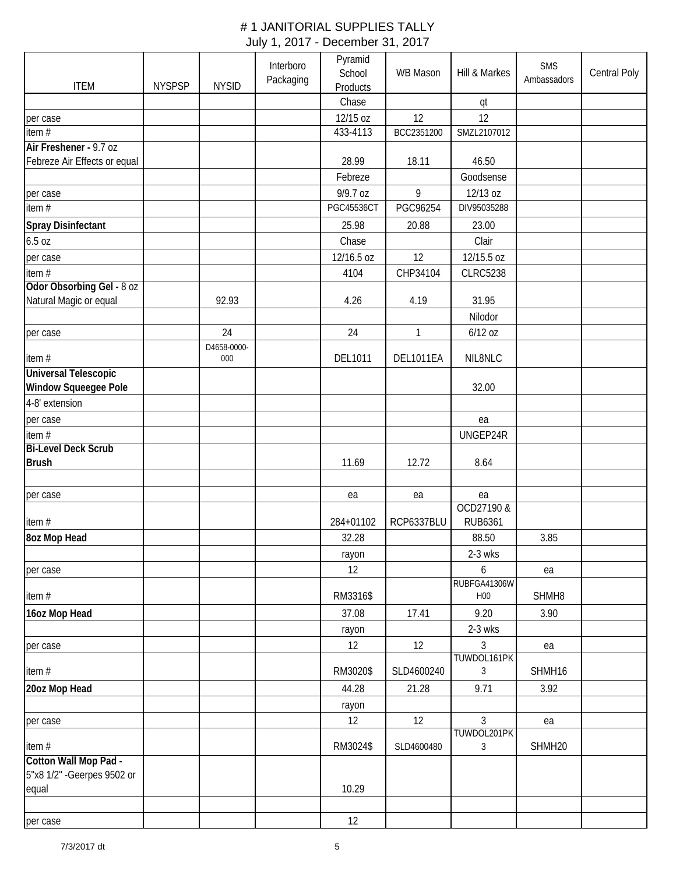| <b>ITEM</b>                                         | <b>NYSPSP</b> | <b>NYSID</b> | Interboro<br>Packaging | Pyramid<br>School<br>Products | <b>WB Mason</b> | Hill & Markes                | <b>SMS</b><br>Ambassadors | Central Poly |
|-----------------------------------------------------|---------------|--------------|------------------------|-------------------------------|-----------------|------------------------------|---------------------------|--------------|
|                                                     |               |              |                        | Chase                         |                 | qt                           |                           |              |
| per case                                            |               |              |                        | 12/15 oz                      | 12              | 12                           |                           |              |
| item#                                               |               |              |                        | 433-4113                      | BCC2351200      | SMZL2107012                  |                           |              |
| Air Freshener - 9.7 oz                              |               |              |                        |                               |                 |                              |                           |              |
| Febreze Air Effects or equal                        |               |              |                        | 28.99                         | 18.11           | 46.50                        |                           |              |
|                                                     |               |              |                        | Febreze                       |                 | Goodsense                    |                           |              |
| per case                                            |               |              |                        | 9/9.7 oz                      | 9               | 12/13 oz                     |                           |              |
| item#                                               |               |              |                        | <b>PGC45536CT</b>             | PGC96254        | DIV95035288                  |                           |              |
| <b>Spray Disinfectant</b>                           |               |              |                        | 25.98                         | 20.88           | 23.00                        |                           |              |
| 6.5 oz                                              |               |              |                        | Chase                         |                 | Clair                        |                           |              |
| per case                                            |               |              |                        | 12/16.5 oz                    | 12              | 12/15.5 oz                   |                           |              |
| item #                                              |               |              |                        | 4104                          | CHP34104        | <b>CLRC5238</b>              |                           |              |
| Odor Obsorbing Gel - 8 oz                           |               |              |                        |                               |                 |                              |                           |              |
| Natural Magic or equal                              |               | 92.93        |                        | 4.26                          | 4.19            | 31.95                        |                           |              |
|                                                     |               |              |                        |                               |                 | Nilodor                      |                           |              |
| per case                                            |               | 24           |                        | 24                            | $\mathbf{1}$    | $6/12$ oz                    |                           |              |
|                                                     |               | D4658-0000-  |                        |                               |                 |                              |                           |              |
| item#                                               |               | 000          |                        | DEL1011                       | DEL1011EA       | NIL8NLC                      |                           |              |
| <b>Universal Telescopic</b><br>Window Squeegee Pole |               |              |                        |                               |                 | 32.00                        |                           |              |
| 4-8' extension                                      |               |              |                        |                               |                 |                              |                           |              |
| per case                                            |               |              |                        |                               |                 | ea                           |                           |              |
| item $#$                                            |               |              |                        |                               |                 | UNGEP24R                     |                           |              |
| <b>Bi-Level Deck Scrub</b>                          |               |              |                        |                               |                 |                              |                           |              |
| <b>Brush</b>                                        |               |              |                        | 11.69                         | 12.72           | 8.64                         |                           |              |
|                                                     |               |              |                        |                               |                 |                              |                           |              |
| per case                                            |               |              |                        | ea                            | ea              | ea                           |                           |              |
| item#                                               |               |              |                        | 284+01102                     | RCP6337BLU      | OCD27190 &<br><b>RUB6361</b> |                           |              |
| 8oz Mop Head                                        |               |              |                        | 32.28                         |                 | 88.50                        | 3.85                      |              |
|                                                     |               |              |                        | rayon                         |                 | 2-3 wks                      |                           |              |
| per case                                            |               |              |                        | 12                            |                 | 6                            | ea                        |              |
|                                                     |               |              |                        |                               |                 | RUBFGA41306W                 |                           |              |
| item #                                              |               |              |                        | RM3316\$                      |                 | H <sub>00</sub>              | SHMH8                     |              |
| 16oz Mop Head                                       |               |              |                        | 37.08                         | 17.41           | 9.20                         | 3.90                      |              |
|                                                     |               |              |                        | rayon                         |                 | 2-3 wks                      |                           |              |
| per case                                            |               |              |                        | 12                            | 12              | 3                            | ea                        |              |
|                                                     |               |              |                        |                               |                 | TUWDOL161PK                  |                           |              |
| item#                                               |               |              |                        | RM3020\$                      | SLD4600240      | 3                            | SHMH16                    |              |
| 20oz Mop Head                                       |               |              |                        | 44.28                         | 21.28           | 9.71                         | 3.92                      |              |
|                                                     |               |              |                        | rayon                         |                 |                              |                           |              |
| per case                                            |               |              |                        | 12                            | 12              | 3                            | ea                        |              |
|                                                     |               |              |                        |                               |                 | TUWDOL201PK                  |                           |              |
| item#<br>Cotton Wall Mop Pad -                      |               |              |                        | RM3024\$                      | SLD4600480      | 3                            | SHMH20                    |              |
| 5"x8 1/2" - Geerpes 9502 or                         |               |              |                        |                               |                 |                              |                           |              |
| equal                                               |               |              |                        | 10.29                         |                 |                              |                           |              |
|                                                     |               |              |                        |                               |                 |                              |                           |              |
| per case                                            |               |              |                        | 12                            |                 |                              |                           |              |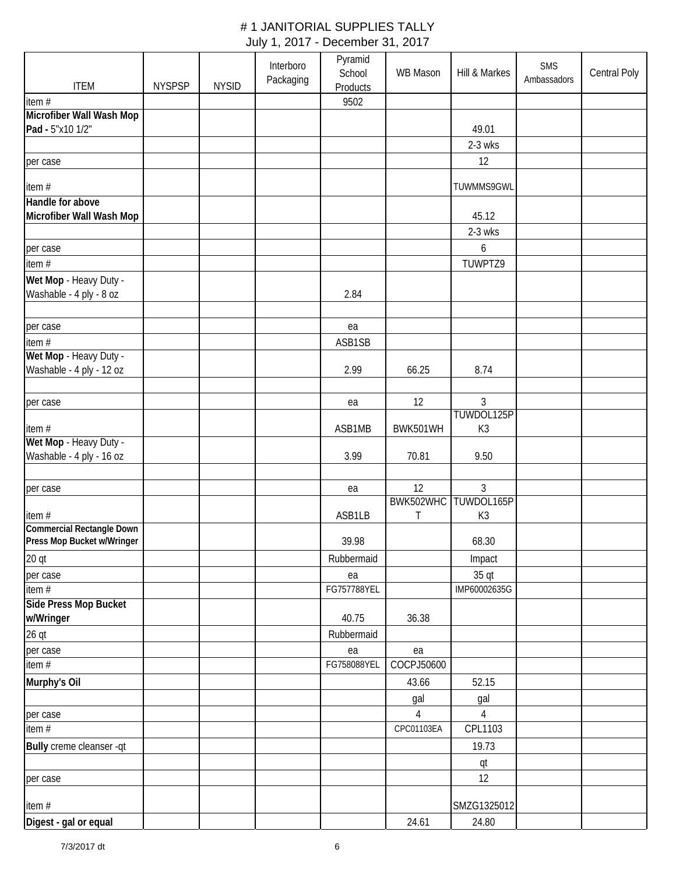| <b>ITEM</b>                      | <b>NYSPSP</b> | <b>NYSID</b> | Interboro<br>Packaging | Pyramid<br>School<br><b>Products</b> | <b>WB Mason</b>  | Hill & Markes | SMS<br>Ambassadors | Central Poly |
|----------------------------------|---------------|--------------|------------------------|--------------------------------------|------------------|---------------|--------------------|--------------|
| item #                           |               |              |                        | 9502                                 |                  |               |                    |              |
| Microfiber Wall Wash Mop         |               |              |                        |                                      |                  |               |                    |              |
| Pad - 5"x10 1/2"                 |               |              |                        |                                      |                  | 49.01         |                    |              |
|                                  |               |              |                        |                                      |                  | 2-3 wks       |                    |              |
| per case                         |               |              |                        |                                      |                  | 12            |                    |              |
| item #                           |               |              |                        |                                      |                  | TUWMMS9GWL    |                    |              |
| Handle for above                 |               |              |                        |                                      |                  |               |                    |              |
| Microfiber Wall Wash Mop         |               |              |                        |                                      |                  | 45.12         |                    |              |
|                                  |               |              |                        |                                      |                  | 2-3 wks       |                    |              |
| per case                         |               |              |                        |                                      |                  | 6             |                    |              |
| item#                            |               |              |                        |                                      |                  | TUWPTZ9       |                    |              |
| Wet Mop - Heavy Duty -           |               |              |                        |                                      |                  |               |                    |              |
| Washable - 4 ply - 8 oz          |               |              |                        | 2.84                                 |                  |               |                    |              |
|                                  |               |              |                        |                                      |                  |               |                    |              |
| per case                         |               |              |                        | ea                                   |                  |               |                    |              |
| item #                           |               |              |                        | ASB1SB                               |                  |               |                    |              |
| Wet Mop - Heavy Duty -           |               |              |                        |                                      |                  |               |                    |              |
| Washable - 4 ply - 12 oz         |               |              |                        | 2.99                                 | 66.25            | 8.74          |                    |              |
|                                  |               |              |                        |                                      |                  |               |                    |              |
| per case                         |               |              |                        | ea                                   | 12               | 3             |                    |              |
|                                  |               |              |                        |                                      |                  | TUWDOL125P    |                    |              |
| item#<br>Wet Mop - Heavy Duty -  |               |              |                        | ASB1MB                               | BWK501WH         | K3            |                    |              |
| Washable - 4 ply - 16 oz         |               |              |                        | 3.99                                 | 70.81            | 9.50          |                    |              |
|                                  |               |              |                        |                                      |                  |               |                    |              |
| per case                         |               |              |                        | ea                                   | 12               | 3             |                    |              |
|                                  |               |              |                        |                                      | BWK502WHC        | TUWDOL165P    |                    |              |
| item#                            |               |              |                        | ASB1LB                               | Τ                | K3            |                    |              |
| <b>Commercial Rectangle Down</b> |               |              |                        |                                      |                  |               |                    |              |
| Press Mop Bucket w/Wringer       |               |              |                        | 39.98                                |                  | 68.30         |                    |              |
| $20$ qt                          |               |              |                        | Rubbermaid                           |                  | Impact        |                    |              |
| per case                         |               |              |                        | ea                                   |                  | 35 qt         |                    |              |
| item #                           |               |              |                        | FG757788YEL                          |                  | IMP60002635G  |                    |              |
| Side Press Mop Bucket            |               |              |                        |                                      |                  |               |                    |              |
| w/Wringer                        |               |              |                        | 40.75                                | 36.38            |               |                    |              |
| $26$ qt                          |               |              |                        | Rubbermaid                           |                  |               |                    |              |
| per case                         |               |              |                        | ea<br>FG758088YEL                    | ea<br>COCPJ50600 |               |                    |              |
| item #                           |               |              |                        |                                      |                  |               |                    |              |
| Murphy's Oil                     |               |              |                        |                                      | 43.66            | 52.15         |                    |              |
|                                  |               |              |                        |                                      | gal              | gal           |                    |              |
| per case                         |               |              |                        |                                      | 4                | 4             |                    |              |
| item #                           |               |              |                        |                                      | CPC01103EA       | CPL1103       |                    |              |
| Bully creme cleanser -qt         |               |              |                        |                                      |                  | 19.73         |                    |              |
|                                  |               |              |                        |                                      |                  | qt            |                    |              |
| per case                         |               |              |                        |                                      |                  | 12            |                    |              |
| item#                            |               |              |                        |                                      |                  | SMZG1325012   |                    |              |
| Digest - gal or equal            |               |              |                        |                                      | 24.61            | 24.80         |                    |              |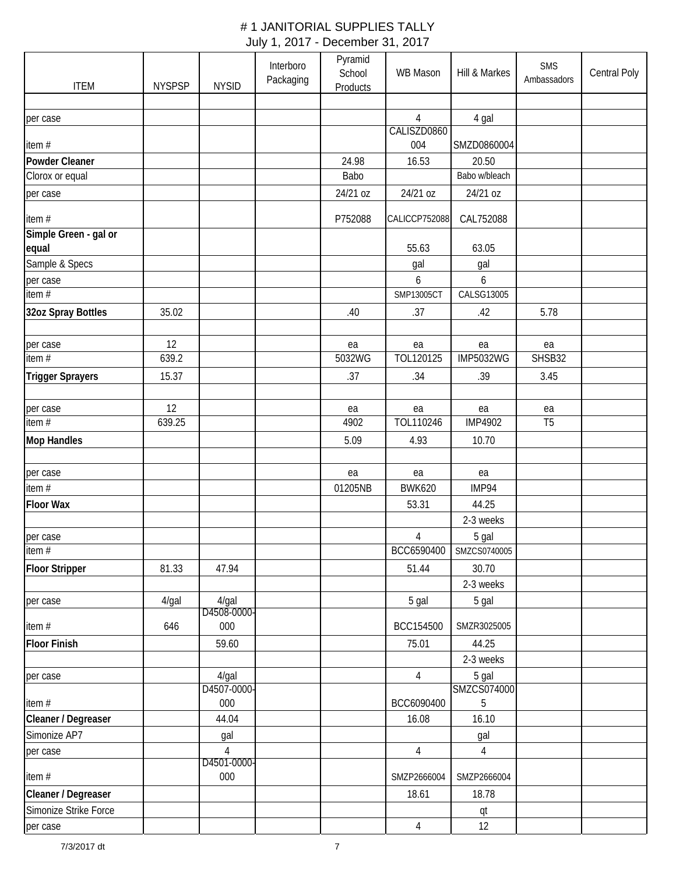| <b>ITEM</b>                    | <b>NYSPSP</b> | <b>NYSID</b>            | Interboro<br>Packaging | Pyramid<br>School<br>Products | WB Mason           | Hill & Markes    | <b>SMS</b><br>Ambassadors | Central Poly |
|--------------------------------|---------------|-------------------------|------------------------|-------------------------------|--------------------|------------------|---------------------------|--------------|
|                                |               |                         |                        |                               |                    |                  |                           |              |
| per case                       |               |                         |                        |                               | 4                  | 4 gal            |                           |              |
| item#                          |               |                         |                        |                               | CALISZD0860<br>004 | SMZD0860004      |                           |              |
| Powder Cleaner                 |               |                         |                        | 24.98                         | 16.53              | 20.50            |                           |              |
| Clorox or equal                |               |                         |                        | Babo                          |                    | Babo w/bleach    |                           |              |
| per case                       |               |                         |                        | 24/21 oz                      | 24/21 oz           | 24/21 oz         |                           |              |
| item#                          |               |                         |                        | P752088                       | CALICCP752088      | CAL752088        |                           |              |
| Simple Green - gal or<br>equal |               |                         |                        |                               | 55.63              | 63.05            |                           |              |
| Sample & Specs                 |               |                         |                        |                               | gal                | gal              |                           |              |
| per case                       |               |                         |                        |                               | 6                  | 6                |                           |              |
| item#                          |               |                         |                        |                               | SMP13005CT         | CALSG13005       |                           |              |
| 32oz Spray Bottles             | 35.02         |                         |                        | .40                           | .37                | .42              | 5.78                      |              |
| per case                       | 12            |                         |                        | ea                            | ea                 | ea               | ea                        |              |
| item#                          | 639.2         |                         |                        | 5032WG                        | TOL120125          | <b>IMP5032WG</b> | SHSB32                    |              |
| <b>Trigger Sprayers</b>        | 15.37         |                         |                        | .37                           | .34                | .39              | 3.45                      |              |
|                                |               |                         |                        |                               |                    |                  |                           |              |
| per case                       | 12            |                         |                        | ea                            | ea                 | ea               | ea                        |              |
| item #                         | 639.25        |                         |                        | 4902                          | TOL110246          | <b>IMP4902</b>   | T <sub>5</sub>            |              |
| <b>Mop Handles</b>             |               |                         |                        | 5.09                          | 4.93               | 10.70            |                           |              |
| per case                       |               |                         |                        | ea                            | ea                 | ea               |                           |              |
| item #                         |               |                         |                        | 01205NB                       | <b>BWK620</b>      | IMP94            |                           |              |
| <b>Floor Wax</b>               |               |                         |                        |                               | 53.31              | 44.25            |                           |              |
|                                |               |                         |                        |                               |                    | 2-3 weeks        |                           |              |
| per case                       |               |                         |                        |                               | $\overline{4}$     | 5 gal            |                           |              |
| item#                          |               |                         |                        |                               | BCC6590400         | SMZCS0740005     |                           |              |
| <b>Floor Stripper</b>          | 81.33         | 47.94                   |                        |                               | 51.44              | 30.70            |                           |              |
|                                |               |                         |                        |                               |                    | 2-3 weeks        |                           |              |
| per case                       | 4/gal         | $4$ /gal<br>D4508-0000- |                        |                               | 5 gal              | 5 gal            |                           |              |
| item #                         | 646           | 000                     |                        |                               | BCC154500          | SMZR3025005      |                           |              |
| <b>Floor Finish</b>            |               | 59.60                   |                        |                               | 75.01              | 44.25            |                           |              |
|                                |               |                         |                        |                               |                    | 2-3 weeks        |                           |              |
| per case                       |               | $4$ /gal                |                        |                               | $\overline{4}$     | 5 gal            |                           |              |
| item#                          |               | D4507-0000-<br>000      |                        |                               | BCC6090400         | SMZCS074000<br>5 |                           |              |
| Cleaner / Degreaser            |               | 44.04                   |                        |                               | 16.08              | 16.10            |                           |              |
| Simonize AP7                   |               | gal                     |                        |                               |                    | gal              |                           |              |
| per case                       |               | $\overline{4}$          |                        |                               | $\overline{4}$     | $\overline{4}$   |                           |              |
|                                |               | D4501-0000-             |                        |                               |                    |                  |                           |              |
| item#                          |               | 000                     |                        |                               | SMZP2666004        | SMZP2666004      |                           |              |
| Cleaner / Degreaser            |               |                         |                        |                               | 18.61              | 18.78            |                           |              |
| Simonize Strike Force          |               |                         |                        |                               |                    | qt               |                           |              |
| per case                       |               |                         |                        |                               | $\overline{4}$     | 12               |                           |              |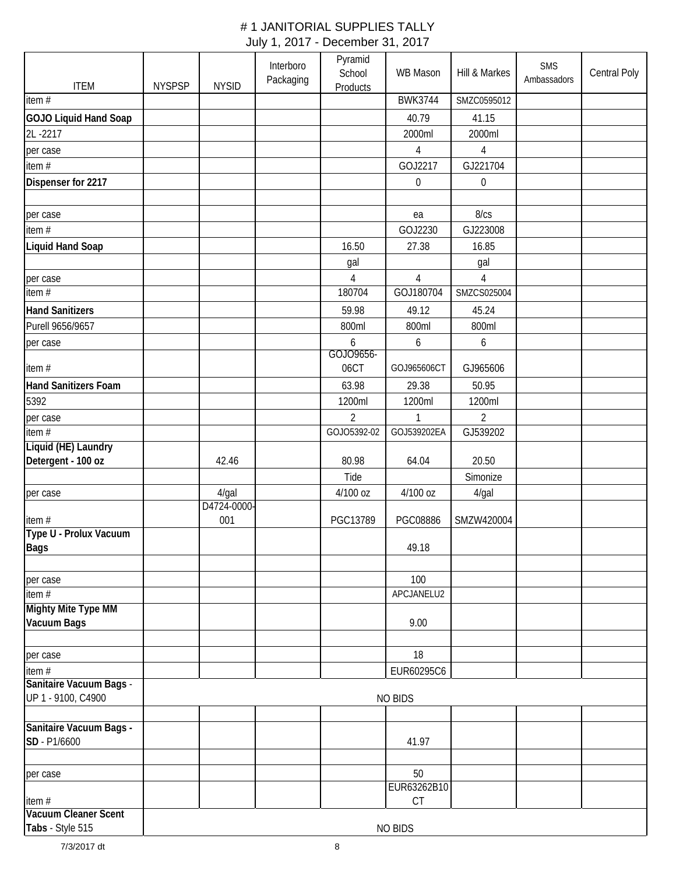| <b>ITEM</b>                               | <b>NYSPSP</b> | <b>NYSID</b> | Interboro<br>Packaging | Pyramid<br>School<br>Products | <b>WB Mason</b>   | Hill & Markes    | SMS<br>Ambassadors | Central Poly |
|-------------------------------------------|---------------|--------------|------------------------|-------------------------------|-------------------|------------------|--------------------|--------------|
| item $#$                                  |               |              |                        |                               | <b>BWK3744</b>    | SMZC0595012      |                    |              |
| <b>GOJO Liquid Hand Soap</b>              |               |              |                        |                               | 40.79             | 41.15            |                    |              |
| 2L-2217                                   |               |              |                        |                               | 2000ml            | 2000ml           |                    |              |
| per case                                  |               |              |                        |                               | $\overline{4}$    | 4                |                    |              |
| item $#$                                  |               |              |                        |                               | GOJ2217           | GJ221704         |                    |              |
| Dispenser for 2217                        |               |              |                        |                               | $\mathbf 0$       | $\boldsymbol{0}$ |                    |              |
| per case                                  |               |              |                        |                               | ea                | 8/cs             |                    |              |
| item#                                     |               |              |                        |                               | GOJ2230           | GJ223008         |                    |              |
| <b>Liquid Hand Soap</b>                   |               |              |                        | 16.50                         | 27.38             | 16.85            |                    |              |
|                                           |               |              |                        | gal                           |                   | gal              |                    |              |
| per case                                  |               |              |                        | 4                             | 4                 | 4                |                    |              |
| item $\overline{\#}$                      |               |              |                        | 180704                        | GOJ180704         | SMZCS025004      |                    |              |
| <b>Hand Sanitizers</b>                    |               |              |                        | 59.98                         | 49.12             | 45.24            |                    |              |
|                                           |               |              |                        |                               |                   |                  |                    |              |
| Purell 9656/9657                          |               |              |                        | 800ml                         | 800ml             | 800ml            |                    |              |
| per case                                  |               |              |                        | 6<br>GOJ09656-                | 6                 | 6                |                    |              |
| item#                                     |               |              |                        | 06CT                          | GOJ965606CT       | GJ965606         |                    |              |
| <b>Hand Sanitizers Foam</b>               |               |              |                        | 63.98                         | 29.38             | 50.95            |                    |              |
| 5392                                      |               |              |                        | 1200ml                        | 1200ml            | 1200ml           |                    |              |
| per case                                  |               |              |                        | $\overline{2}$                | 1                 | $\overline{2}$   |                    |              |
| item $#$                                  |               |              |                        | GOJ05392-02                   | GOJ539202EA       | GJ539202         |                    |              |
| Liquid (HE) Laundry<br>Detergent - 100 oz |               | 42.46        |                        | 80.98                         | 64.04             | 20.50            |                    |              |
|                                           |               |              |                        | Tide                          |                   | Simonize         |                    |              |
|                                           |               | $4$ /gal     |                        | 4/100 oz                      | 4/100 oz          |                  |                    |              |
| per case                                  |               | D4724-0000-  |                        |                               |                   | 4/gal            |                    |              |
| item#<br>Type U - Prolux Vacuum           |               | 001          |                        | PGC13789                      | PGC08886          | SMZW420004       |                    |              |
| Bags                                      |               |              |                        |                               | 49.18             |                  |                    |              |
|                                           |               |              |                        |                               |                   |                  |                    |              |
| per case                                  |               |              |                        |                               | 100               |                  |                    |              |
| item $#$                                  |               |              |                        |                               | APCJANELU2        |                  |                    |              |
| <b>Mighty Mite Type MM</b><br>Vacuum Bags |               |              |                        |                               | 9.00              |                  |                    |              |
|                                           |               |              |                        |                               |                   |                  |                    |              |
| per case                                  |               |              |                        |                               | 18                |                  |                    |              |
| item #<br>Sanitaire Vacuum Bags -         |               |              |                        |                               | EUR60295C6        |                  |                    |              |
| UP 1 - 9100, C4900                        |               |              |                        |                               | <b>NO BIDS</b>    |                  |                    |              |
| Sanitaire Vacuum Bags -                   |               |              |                        |                               |                   |                  |                    |              |
| SD - P1/6600                              |               |              |                        |                               | 41.97             |                  |                    |              |
| per case                                  |               |              |                        |                               | 50                |                  |                    |              |
| item#                                     |               |              |                        |                               | EUR63262B10<br>CT |                  |                    |              |
| <b>Vacuum Cleaner Scent</b>               |               |              |                        |                               |                   |                  |                    |              |
| Tabs - Style 515                          |               |              |                        |                               | <b>NO BIDS</b>    |                  |                    |              |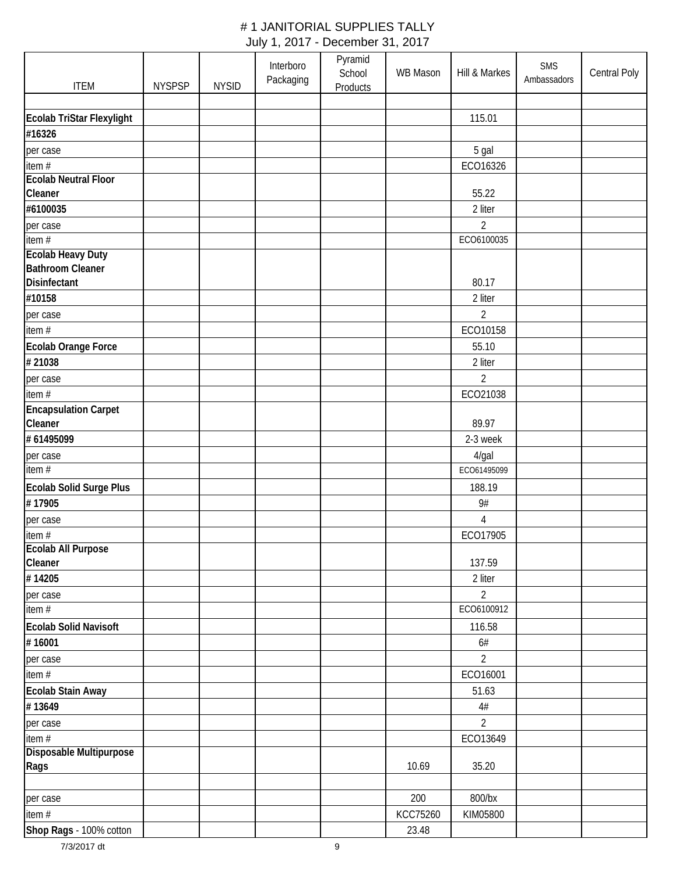|                              |               |              | Interboro | Pyramid<br>School | <b>WB Mason</b> | Hill & Markes  | <b>SMS</b><br>Ambassadors | Central Poly |
|------------------------------|---------------|--------------|-----------|-------------------|-----------------|----------------|---------------------------|--------------|
| <b>ITEM</b>                  | <b>NYSPSP</b> | <b>NYSID</b> | Packaging | <b>Products</b>   |                 |                |                           |              |
|                              |               |              |           |                   |                 |                |                           |              |
| Ecolab TriStar Flexylight    |               |              |           |                   |                 | 115.01         |                           |              |
| #16326                       |               |              |           |                   |                 |                |                           |              |
| per case                     |               |              |           |                   |                 | 5 gal          |                           |              |
| item#                        |               |              |           |                   |                 | ECO16326       |                           |              |
| <b>Ecolab Neutral Floor</b>  |               |              |           |                   |                 |                |                           |              |
| Cleaner                      |               |              |           |                   |                 | 55.22          |                           |              |
| #6100035                     |               |              |           |                   |                 | 2 liter        |                           |              |
| per case                     |               |              |           |                   |                 | 2              |                           |              |
| item#                        |               |              |           |                   |                 | ECO6100035     |                           |              |
| <b>Ecolab Heavy Duty</b>     |               |              |           |                   |                 |                |                           |              |
| <b>Bathroom Cleaner</b>      |               |              |           |                   |                 |                |                           |              |
| <b>Disinfectant</b>          |               |              |           |                   |                 | 80.17          |                           |              |
| #10158                       |               |              |           |                   |                 | 2 liter        |                           |              |
| per case                     |               |              |           |                   |                 | $\overline{2}$ |                           |              |
| item #                       |               |              |           |                   |                 | ECO10158       |                           |              |
| Ecolab Orange Force          |               |              |           |                   |                 | 55.10          |                           |              |
| #21038                       |               |              |           |                   |                 | 2 liter        |                           |              |
| per case                     |               |              |           |                   |                 | $\overline{2}$ |                           |              |
| item#                        |               |              |           |                   |                 | ECO21038       |                           |              |
| <b>Encapsulation Carpet</b>  |               |              |           |                   |                 |                |                           |              |
| Cleaner                      |               |              |           |                   |                 | 89.97          |                           |              |
| #61495099                    |               |              |           |                   |                 | 2-3 week       |                           |              |
| per case                     |               |              |           |                   |                 | 4/gal          |                           |              |
| item#                        |               |              |           |                   |                 | ECO61495099    |                           |              |
| Ecolab Solid Surge Plus      |               |              |           |                   |                 | 188.19         |                           |              |
| #17905                       |               |              |           |                   |                 | 9#             |                           |              |
| per case                     |               |              |           |                   |                 | $\overline{4}$ |                           |              |
| item #                       |               |              |           |                   |                 | ECO17905       |                           |              |
| Ecolab All Purpose           |               |              |           |                   |                 |                |                           |              |
| Cleaner                      |               |              |           |                   |                 | 137.59         |                           |              |
| #14205                       |               |              |           |                   |                 | 2 liter        |                           |              |
| per case                     |               |              |           |                   |                 | $\overline{2}$ |                           |              |
| item #                       |               |              |           |                   |                 | ECO6100912     |                           |              |
| <b>Ecolab Solid Navisoft</b> |               |              |           |                   |                 | 116.58         |                           |              |
| #16001                       |               |              |           |                   |                 | 6#             |                           |              |
| per case                     |               |              |           |                   |                 | $\overline{2}$ |                           |              |
| item #                       |               |              |           |                   |                 | ECO16001       |                           |              |
| Ecolab Stain Away            |               |              |           |                   |                 | 51.63          |                           |              |
| #13649                       |               |              |           |                   |                 | $4\#$          |                           |              |
| per case                     |               |              |           |                   |                 | $\overline{2}$ |                           |              |
| item #                       |               |              |           |                   |                 | ECO13649       |                           |              |
| Disposable Multipurpose      |               |              |           |                   |                 |                |                           |              |
| Rags                         |               |              |           |                   | 10.69           | 35.20          |                           |              |
|                              |               |              |           |                   |                 |                |                           |              |
| per case                     |               |              |           |                   | 200             | 800/bx         |                           |              |
| item #                       |               |              |           |                   | <b>KCC75260</b> | KIM05800       |                           |              |
| Shop Rags - 100% cotton      |               |              |           |                   | 23.48           |                |                           |              |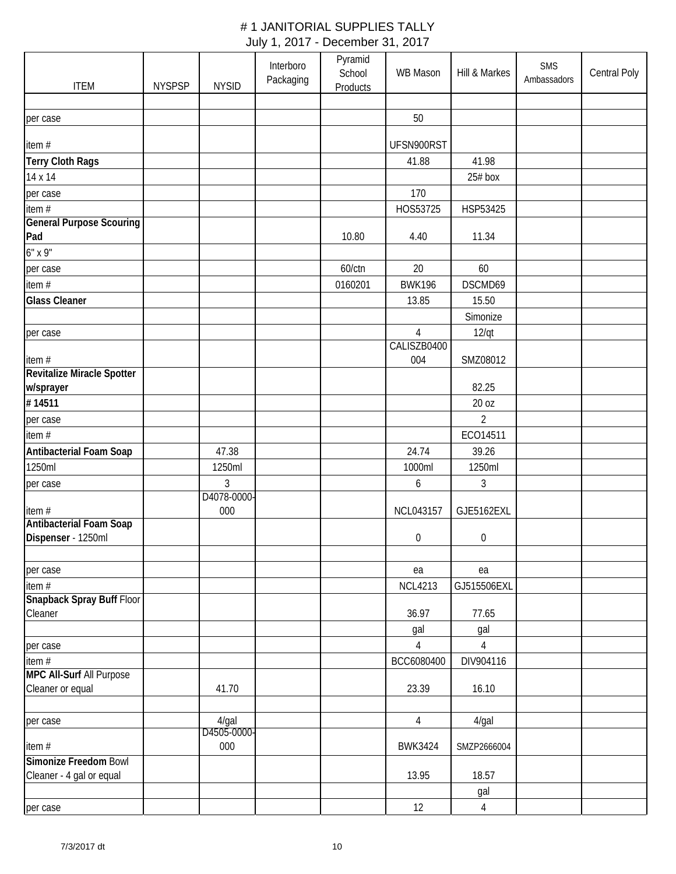| <b>ITEM</b>                                    | <b>NYSPSP</b> | <b>NYSID</b>            | Interboro<br>Packaging | Pyramid<br>School<br><b>Products</b> | WB Mason                      | Hill & Markes  | <b>SMS</b><br>Ambassadors | Central Poly |
|------------------------------------------------|---------------|-------------------------|------------------------|--------------------------------------|-------------------------------|----------------|---------------------------|--------------|
|                                                |               |                         |                        |                                      |                               |                |                           |              |
| per case                                       |               |                         |                        |                                      | 50                            |                |                           |              |
| item#                                          |               |                         |                        |                                      | UFSN900RST                    |                |                           |              |
| <b>Terry Cloth Rags</b>                        |               |                         |                        |                                      | 41.88                         | 41.98          |                           |              |
| 14 x 14                                        |               |                         |                        |                                      |                               | $25#$ box      |                           |              |
| per case                                       |               |                         |                        |                                      | 170                           |                |                           |              |
| item #                                         |               |                         |                        |                                      | HOS53725                      | HSP53425       |                           |              |
| <b>General Purpose Scouring</b><br>Pad         |               |                         |                        | 10.80                                | 4.40                          | 11.34          |                           |              |
| $6"$ x 9"                                      |               |                         |                        |                                      |                               |                |                           |              |
| per case                                       |               |                         |                        | 60/ctn                               | 20                            | 60             |                           |              |
| item $#$                                       |               |                         |                        | 0160201                              | <b>BWK196</b>                 | DSCMD69        |                           |              |
| <b>Glass Cleaner</b>                           |               |                         |                        |                                      | 13.85                         | 15.50          |                           |              |
|                                                |               |                         |                        |                                      |                               | Simonize       |                           |              |
| per case                                       |               |                         |                        |                                      | $\overline{4}$<br>CALISZB0400 | 12/qt          |                           |              |
| item#                                          |               |                         |                        |                                      | 004                           | SMZ08012       |                           |              |
| <b>Revitalize Miracle Spotter</b><br>w/sprayer |               |                         |                        |                                      |                               | 82.25          |                           |              |
| #14511                                         |               |                         |                        |                                      |                               | 20 oz          |                           |              |
| per case                                       |               |                         |                        |                                      |                               | $\overline{2}$ |                           |              |
| item#                                          |               |                         |                        |                                      |                               | ECO14511       |                           |              |
| Antibacterial Foam Soap                        |               | 47.38                   |                        |                                      | 24.74                         | 39.26          |                           |              |
| 1250ml                                         |               | 1250ml                  |                        |                                      | 1000ml                        | 1250ml         |                           |              |
| per case                                       |               | 3                       |                        |                                      | 6                             | 3              |                           |              |
|                                                |               | D4078-0000-             |                        |                                      |                               |                |                           |              |
| item#                                          |               | 000                     |                        |                                      | NCL043157                     | GJE5162EXL     |                           |              |
| Antibacterial Foam Soap                        |               |                         |                        |                                      |                               |                |                           |              |
| Dispenser - 1250ml                             |               |                         |                        |                                      | $\boldsymbol{0}$              | 0              |                           |              |
| per case                                       |               |                         |                        |                                      | ea                            | ea             |                           |              |
| item#                                          |               |                         |                        |                                      | <b>NCL4213</b>                | GJ515506EXL    |                           |              |
| Snapback Spray Buff Floor                      |               |                         |                        |                                      |                               |                |                           |              |
| Cleaner                                        |               |                         |                        |                                      | 36.97<br>gal                  | 77.65<br>gal   |                           |              |
| per case                                       |               |                         |                        |                                      | $\overline{4}$                | $\overline{4}$ |                           |              |
| item#                                          |               |                         |                        |                                      | BCC6080400                    | DIV904116      |                           |              |
| <b>MPC All-Surf All Purpose</b>                |               |                         |                        |                                      |                               |                |                           |              |
| Cleaner or equal                               |               | 41.70                   |                        |                                      | 23.39                         | 16.10          |                           |              |
|                                                |               |                         |                        |                                      |                               |                |                           |              |
| per case                                       |               | $4$ /gal<br>D4505-0000- |                        |                                      | 4                             | 4/gal          |                           |              |
| item#                                          |               | 000                     |                        |                                      | <b>BWK3424</b>                | SMZP2666004    |                           |              |
| Simonize Freedom Bowl                          |               |                         |                        |                                      |                               |                |                           |              |
| Cleaner - 4 gal or equal                       |               |                         |                        |                                      | 13.95                         | 18.57          |                           |              |
|                                                |               |                         |                        |                                      |                               | gal            |                           |              |
| per case                                       |               |                         |                        |                                      | 12                            | $\overline{4}$ |                           |              |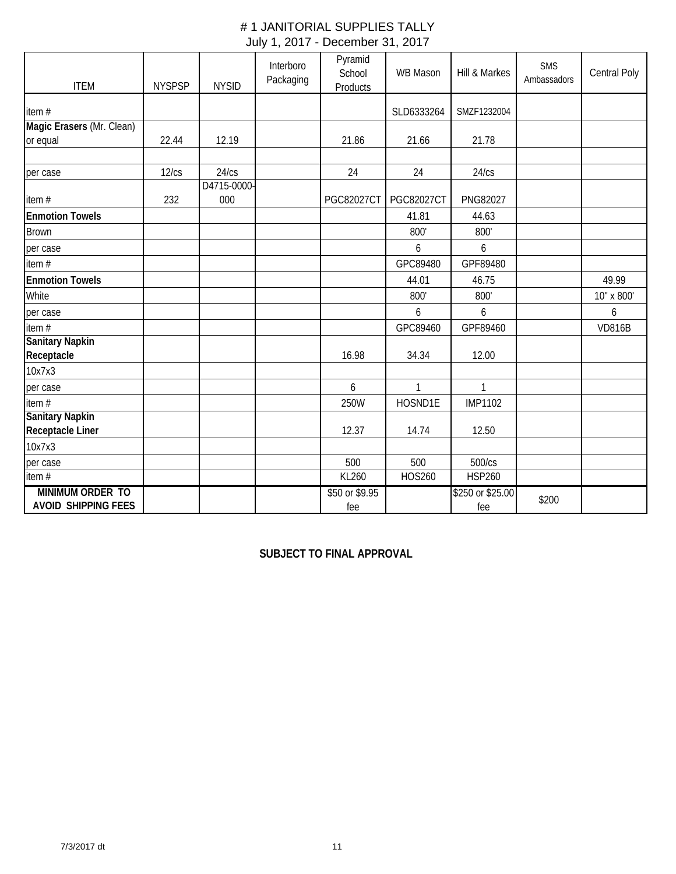| <b>ITEM</b>                | <b>NYSPSP</b> | <b>NYSID</b> | Interboro<br>Packaging | Pyramid<br>School<br><b>Products</b> | WB Mason          | Hill & Markes    | SMS<br>Ambassadors | Central Poly  |
|----------------------------|---------------|--------------|------------------------|--------------------------------------|-------------------|------------------|--------------------|---------------|
| item #                     |               |              |                        |                                      | SLD6333264        | SMZF1232004      |                    |               |
| Magic Erasers (Mr. Clean)  |               |              |                        |                                      |                   |                  |                    |               |
| or equal                   | 22.44         | 12.19        |                        | 21.86                                | 21.66             | 21.78            |                    |               |
|                            |               |              |                        |                                      |                   |                  |                    |               |
| per case                   | 12/cs         | 24/cs        |                        | 24                                   | 24                | 24/cs            |                    |               |
|                            |               | D4715-0000-  |                        |                                      |                   |                  |                    |               |
| item#                      | 232           | 000          |                        | <b>PGC82027CT</b>                    | <b>PGC82027CT</b> | PNG82027         |                    |               |
| <b>Enmotion Towels</b>     |               |              |                        |                                      | 41.81             | 44.63            |                    |               |
| <b>Brown</b>               |               |              |                        |                                      | 800'              | 800'             |                    |               |
| per case                   |               |              |                        |                                      | 6                 | 6                |                    |               |
| item #                     |               |              |                        |                                      | GPC89480          | GPF89480         |                    |               |
| <b>Enmotion Towels</b>     |               |              |                        |                                      | 44.01             | 46.75            |                    | 49.99         |
| White                      |               |              |                        |                                      | 800'              | 800'             |                    | 10" x 800'    |
| per case                   |               |              |                        |                                      | 6                 | 6                |                    | 6             |
| item#                      |               |              |                        |                                      | GPC89460          | GPF89460         |                    | <b>VD816B</b> |
| <b>Sanitary Napkin</b>     |               |              |                        |                                      |                   |                  |                    |               |
| Receptacle                 |               |              |                        | 16.98                                | 34.34             | 12.00            |                    |               |
| 10x7x3                     |               |              |                        |                                      |                   |                  |                    |               |
| per case                   |               |              |                        | 6                                    | $\mathbf{1}$      | $\mathbf{1}$     |                    |               |
| item #                     |               |              |                        | 250W                                 | HOSND1E           | <b>IMP1102</b>   |                    |               |
| <b>Sanitary Napkin</b>     |               |              |                        |                                      |                   |                  |                    |               |
| Receptacle Liner           |               |              |                        | 12.37                                | 14.74             | 12.50            |                    |               |
| 10x7x3                     |               |              |                        |                                      |                   |                  |                    |               |
| per case                   |               |              |                        | 500                                  | 500               | 500/cs           |                    |               |
| item $#$                   |               |              |                        | KL260                                | <b>HOS260</b>     | <b>HSP260</b>    |                    |               |
| MINIMUM ORDER TO           |               |              |                        | \$50 or \$9.95                       |                   | \$250 or \$25.00 | \$200              |               |
| <b>AVOID SHIPPING FEES</b> |               |              |                        | fee                                  |                   | fee              |                    |               |

**SUBJECT TO FINAL APPROVAL**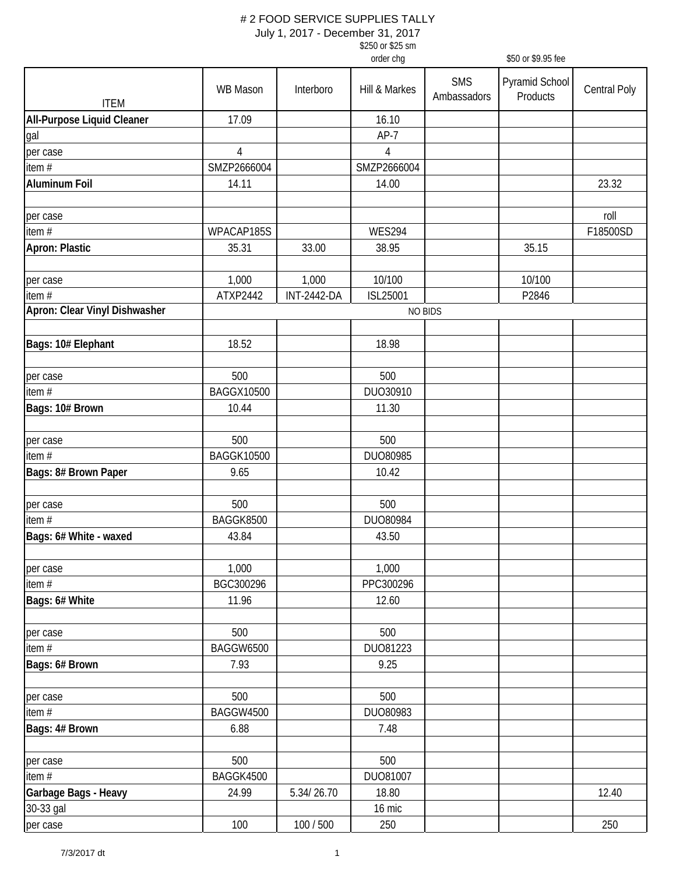|                                   |                   |                    | \$250 or \$25 sm<br>order chg |                           | \$50 or \$9.95 fee                |                     |
|-----------------------------------|-------------------|--------------------|-------------------------------|---------------------------|-----------------------------------|---------------------|
|                                   |                   |                    |                               |                           |                                   |                     |
| <b>ITEM</b>                       | <b>WB Mason</b>   | Interboro          | Hill & Markes                 | <b>SMS</b><br>Ambassadors | <b>Pyramid School</b><br>Products | <b>Central Poly</b> |
| <b>All-Purpose Liquid Cleaner</b> | 17.09             |                    | 16.10                         |                           |                                   |                     |
| gal                               |                   |                    | $AP-7$                        |                           |                                   |                     |
| per case                          | $\overline{4}$    |                    | $\sqrt{4}$                    |                           |                                   |                     |
| item#                             | SMZP2666004       |                    | SMZP2666004                   |                           |                                   |                     |
| <b>Aluminum Foil</b>              | 14.11             |                    | 14.00                         |                           |                                   | 23.32               |
| per case                          |                   |                    |                               |                           |                                   | roll                |
| item#                             | WPACAP185S        |                    | <b>WES294</b>                 |                           |                                   | F18500SD            |
| <b>Apron: Plastic</b>             | 35.31             | 33.00              | 38.95                         |                           | 35.15                             |                     |
| per case                          | 1,000             | 1,000              | 10/100                        |                           | 10/100                            |                     |
| item #                            | ATXP2442          | <b>INT-2442-DA</b> | ISL25001                      |                           | P2846                             |                     |
| Apron: Clear Vinyl Dishwasher     |                   |                    | <b>NO BIDS</b>                |                           |                                   |                     |
| Bags: 10# Elephant                | 18.52             |                    | 18.98                         |                           |                                   |                     |
| per case                          | 500               |                    | 500                           |                           |                                   |                     |
| item#                             | <b>BAGGX10500</b> |                    | DUO30910                      |                           |                                   |                     |
| Bags: 10# Brown                   | 10.44             |                    | 11.30                         |                           |                                   |                     |
| per case                          | 500               |                    | 500                           |                           |                                   |                     |
| item#                             | <b>BAGGK10500</b> |                    | DUO80985                      |                           |                                   |                     |
| Bags: 8# Brown Paper              | 9.65              |                    | 10.42                         |                           |                                   |                     |
| per case                          | 500               |                    | 500                           |                           |                                   |                     |
| item #                            | BAGGK8500         |                    | DUO80984                      |                           |                                   |                     |
| Bags: 6# White - waxed            | 43.84             |                    | 43.50                         |                           |                                   |                     |
| per case                          | 1,000             |                    | 1,000                         |                           |                                   |                     |
| item #                            | BGC300296         |                    | PPC300296                     |                           |                                   |                     |
| Bags: 6# White                    | 11.96             |                    | 12.60                         |                           |                                   |                     |
| per case                          | 500               |                    | 500                           |                           |                                   |                     |
| item #                            | <b>BAGGW6500</b>  |                    | DU081223                      |                           |                                   |                     |
| Bags: 6# Brown                    | 7.93              |                    | 9.25                          |                           |                                   |                     |
| per case                          | 500               |                    | 500                           |                           |                                   |                     |
| item $#$                          | BAGGW4500         |                    | DUO80983                      |                           |                                   |                     |
| Bags: 4# Brown                    | 6.88              |                    | 7.48                          |                           |                                   |                     |
| per case                          | 500               |                    | 500                           |                           |                                   |                     |
| item #                            | BAGGK4500         |                    | DU081007                      |                           |                                   |                     |
| Garbage Bags - Heavy              | 24.99             | 5.34/26.70         | 18.80                         |                           |                                   | 12.40               |
| 30-33 gal                         |                   |                    | 16 mic                        |                           |                                   |                     |
| per case                          | 100               | 100 / 500          | 250                           |                           |                                   | 250                 |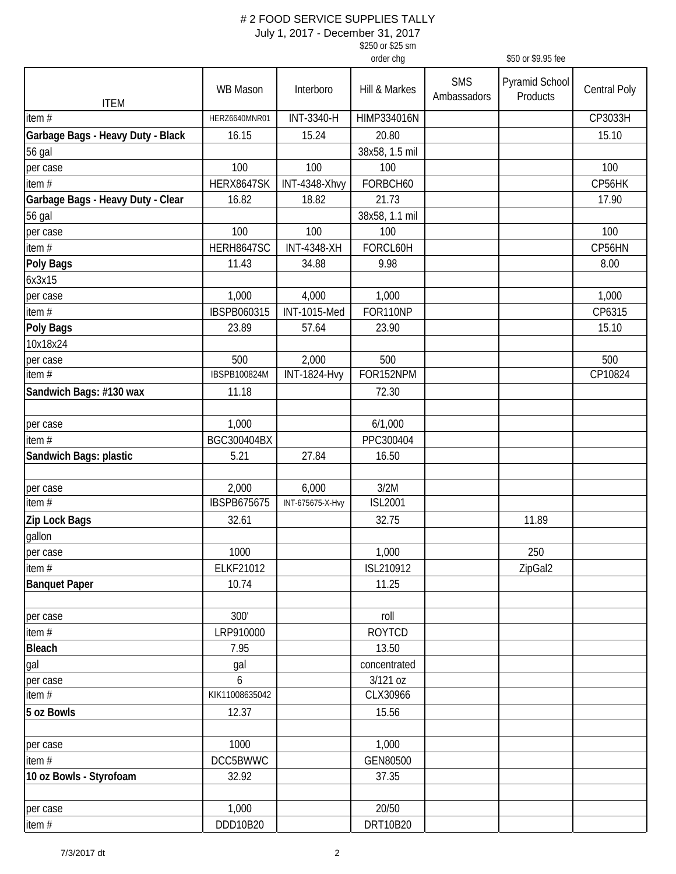| \$250 or \$25 sm |                    |
|------------------|--------------------|
| order cha        | \$50 or \$9.95 fee |

| <b>SMS</b><br>Pyramid School<br><b>WB Mason</b><br>Interboro<br>Hill & Markes<br>Central Poly<br>Ambassadors<br>Products<br><b>ITEM</b><br>INT-3340-H<br>CP3033H<br>HIMP334016N<br>HERZ6640MNR01<br>Garbage Bags - Heavy Duty - Black<br>16.15<br>15.24<br>20.80<br>15.10<br>38x58, 1.5 mil<br>56 gal<br>100<br>100<br>100<br>100<br>per case<br>item $#$<br>HERX8647SK<br>FORBCH60<br>INT-4348-Xhvy<br>CP56HK<br>Garbage Bags - Heavy Duty - Clear<br>16.82<br>18.82<br>21.73<br>17.90<br>38x58, 1.1 mil<br>56 gal<br>100<br>100<br>100<br>100<br>per case<br>HERH8647SC<br>FORCL60H<br>item#<br><b>INT-4348-XH</b><br>CP56HN<br><b>Poly Bags</b><br>11.43<br>34.88<br>9.98<br>8.00<br>1,000<br>1,000<br>1,000<br>4,000<br>per case<br>IBSPB060315<br>FOR110NP<br>CP6315<br><b>INT-1015-Med</b><br>23.89<br>57.64<br>15.10<br>23.90<br>500<br>2,000<br>500<br>500<br>per case<br>FOR152NPM<br><b>INT-1824-Hvy</b><br>CP10824<br>IBSPB100824M<br>11.18<br>72.30<br>1,000<br>6/1,000<br>BGC300404BX<br>PPC300404<br>5.21<br>27.84<br>16.50<br>2,000<br>6,000<br>3/2M<br><b>IBSPB675675</b><br><b>ISL2001</b><br>INT-675675-X-Hvy<br>Zip Lock Bags<br>32.61<br>32.75<br>11.89<br>1000<br>1,000<br>250<br>ELKF21012<br>ISL210912<br>ZipGal2<br>10.74<br>11.25<br>300'<br>roll<br>LRP910000<br><b>ROYTCD</b><br><b>Bleach</b><br>7.95<br>13.50<br>concentrated<br>gal<br>3/121 oz<br>6<br>item $#$<br>KIK11008635042<br>CLX30966<br>5 oz Bowls<br>12.37<br>15.56<br>1000<br>1,000<br>DCC5BWWC<br>GEN80500<br>32.92<br>37.35<br>20/50<br>1,000<br>per case<br>DDD10B20<br>DRT10B20 |                         |  |  |  |
|-------------------------------------------------------------------------------------------------------------------------------------------------------------------------------------------------------------------------------------------------------------------------------------------------------------------------------------------------------------------------------------------------------------------------------------------------------------------------------------------------------------------------------------------------------------------------------------------------------------------------------------------------------------------------------------------------------------------------------------------------------------------------------------------------------------------------------------------------------------------------------------------------------------------------------------------------------------------------------------------------------------------------------------------------------------------------------------------------------------------------------------------------------------------------------------------------------------------------------------------------------------------------------------------------------------------------------------------------------------------------------------------------------------------------------------------------------------------------------------------------------------------------------------------------------------------------------|-------------------------|--|--|--|
|                                                                                                                                                                                                                                                                                                                                                                                                                                                                                                                                                                                                                                                                                                                                                                                                                                                                                                                                                                                                                                                                                                                                                                                                                                                                                                                                                                                                                                                                                                                                                                               |                         |  |  |  |
|                                                                                                                                                                                                                                                                                                                                                                                                                                                                                                                                                                                                                                                                                                                                                                                                                                                                                                                                                                                                                                                                                                                                                                                                                                                                                                                                                                                                                                                                                                                                                                               | item $#$                |  |  |  |
|                                                                                                                                                                                                                                                                                                                                                                                                                                                                                                                                                                                                                                                                                                                                                                                                                                                                                                                                                                                                                                                                                                                                                                                                                                                                                                                                                                                                                                                                                                                                                                               |                         |  |  |  |
|                                                                                                                                                                                                                                                                                                                                                                                                                                                                                                                                                                                                                                                                                                                                                                                                                                                                                                                                                                                                                                                                                                                                                                                                                                                                                                                                                                                                                                                                                                                                                                               |                         |  |  |  |
|                                                                                                                                                                                                                                                                                                                                                                                                                                                                                                                                                                                                                                                                                                                                                                                                                                                                                                                                                                                                                                                                                                                                                                                                                                                                                                                                                                                                                                                                                                                                                                               |                         |  |  |  |
|                                                                                                                                                                                                                                                                                                                                                                                                                                                                                                                                                                                                                                                                                                                                                                                                                                                                                                                                                                                                                                                                                                                                                                                                                                                                                                                                                                                                                                                                                                                                                                               |                         |  |  |  |
|                                                                                                                                                                                                                                                                                                                                                                                                                                                                                                                                                                                                                                                                                                                                                                                                                                                                                                                                                                                                                                                                                                                                                                                                                                                                                                                                                                                                                                                                                                                                                                               |                         |  |  |  |
|                                                                                                                                                                                                                                                                                                                                                                                                                                                                                                                                                                                                                                                                                                                                                                                                                                                                                                                                                                                                                                                                                                                                                                                                                                                                                                                                                                                                                                                                                                                                                                               |                         |  |  |  |
|                                                                                                                                                                                                                                                                                                                                                                                                                                                                                                                                                                                                                                                                                                                                                                                                                                                                                                                                                                                                                                                                                                                                                                                                                                                                                                                                                                                                                                                                                                                                                                               |                         |  |  |  |
|                                                                                                                                                                                                                                                                                                                                                                                                                                                                                                                                                                                                                                                                                                                                                                                                                                                                                                                                                                                                                                                                                                                                                                                                                                                                                                                                                                                                                                                                                                                                                                               |                         |  |  |  |
|                                                                                                                                                                                                                                                                                                                                                                                                                                                                                                                                                                                                                                                                                                                                                                                                                                                                                                                                                                                                                                                                                                                                                                                                                                                                                                                                                                                                                                                                                                                                                                               |                         |  |  |  |
|                                                                                                                                                                                                                                                                                                                                                                                                                                                                                                                                                                                                                                                                                                                                                                                                                                                                                                                                                                                                                                                                                                                                                                                                                                                                                                                                                                                                                                                                                                                                                                               | 6x3x15                  |  |  |  |
|                                                                                                                                                                                                                                                                                                                                                                                                                                                                                                                                                                                                                                                                                                                                                                                                                                                                                                                                                                                                                                                                                                                                                                                                                                                                                                                                                                                                                                                                                                                                                                               |                         |  |  |  |
|                                                                                                                                                                                                                                                                                                                                                                                                                                                                                                                                                                                                                                                                                                                                                                                                                                                                                                                                                                                                                                                                                                                                                                                                                                                                                                                                                                                                                                                                                                                                                                               | item #                  |  |  |  |
|                                                                                                                                                                                                                                                                                                                                                                                                                                                                                                                                                                                                                                                                                                                                                                                                                                                                                                                                                                                                                                                                                                                                                                                                                                                                                                                                                                                                                                                                                                                                                                               | <b>Poly Bags</b>        |  |  |  |
|                                                                                                                                                                                                                                                                                                                                                                                                                                                                                                                                                                                                                                                                                                                                                                                                                                                                                                                                                                                                                                                                                                                                                                                                                                                                                                                                                                                                                                                                                                                                                                               | 10x18x24                |  |  |  |
|                                                                                                                                                                                                                                                                                                                                                                                                                                                                                                                                                                                                                                                                                                                                                                                                                                                                                                                                                                                                                                                                                                                                                                                                                                                                                                                                                                                                                                                                                                                                                                               |                         |  |  |  |
|                                                                                                                                                                                                                                                                                                                                                                                                                                                                                                                                                                                                                                                                                                                                                                                                                                                                                                                                                                                                                                                                                                                                                                                                                                                                                                                                                                                                                                                                                                                                                                               | item $#$                |  |  |  |
|                                                                                                                                                                                                                                                                                                                                                                                                                                                                                                                                                                                                                                                                                                                                                                                                                                                                                                                                                                                                                                                                                                                                                                                                                                                                                                                                                                                                                                                                                                                                                                               | Sandwich Bags: #130 wax |  |  |  |
|                                                                                                                                                                                                                                                                                                                                                                                                                                                                                                                                                                                                                                                                                                                                                                                                                                                                                                                                                                                                                                                                                                                                                                                                                                                                                                                                                                                                                                                                                                                                                                               |                         |  |  |  |
|                                                                                                                                                                                                                                                                                                                                                                                                                                                                                                                                                                                                                                                                                                                                                                                                                                                                                                                                                                                                                                                                                                                                                                                                                                                                                                                                                                                                                                                                                                                                                                               | per case                |  |  |  |
|                                                                                                                                                                                                                                                                                                                                                                                                                                                                                                                                                                                                                                                                                                                                                                                                                                                                                                                                                                                                                                                                                                                                                                                                                                                                                                                                                                                                                                                                                                                                                                               | item $#$                |  |  |  |
|                                                                                                                                                                                                                                                                                                                                                                                                                                                                                                                                                                                                                                                                                                                                                                                                                                                                                                                                                                                                                                                                                                                                                                                                                                                                                                                                                                                                                                                                                                                                                                               | Sandwich Bags: plastic  |  |  |  |
|                                                                                                                                                                                                                                                                                                                                                                                                                                                                                                                                                                                                                                                                                                                                                                                                                                                                                                                                                                                                                                                                                                                                                                                                                                                                                                                                                                                                                                                                                                                                                                               | per case                |  |  |  |
|                                                                                                                                                                                                                                                                                                                                                                                                                                                                                                                                                                                                                                                                                                                                                                                                                                                                                                                                                                                                                                                                                                                                                                                                                                                                                                                                                                                                                                                                                                                                                                               | item $#$                |  |  |  |
|                                                                                                                                                                                                                                                                                                                                                                                                                                                                                                                                                                                                                                                                                                                                                                                                                                                                                                                                                                                                                                                                                                                                                                                                                                                                                                                                                                                                                                                                                                                                                                               |                         |  |  |  |
|                                                                                                                                                                                                                                                                                                                                                                                                                                                                                                                                                                                                                                                                                                                                                                                                                                                                                                                                                                                                                                                                                                                                                                                                                                                                                                                                                                                                                                                                                                                                                                               | gallon                  |  |  |  |
|                                                                                                                                                                                                                                                                                                                                                                                                                                                                                                                                                                                                                                                                                                                                                                                                                                                                                                                                                                                                                                                                                                                                                                                                                                                                                                                                                                                                                                                                                                                                                                               | per case                |  |  |  |
|                                                                                                                                                                                                                                                                                                                                                                                                                                                                                                                                                                                                                                                                                                                                                                                                                                                                                                                                                                                                                                                                                                                                                                                                                                                                                                                                                                                                                                                                                                                                                                               | item #                  |  |  |  |
|                                                                                                                                                                                                                                                                                                                                                                                                                                                                                                                                                                                                                                                                                                                                                                                                                                                                                                                                                                                                                                                                                                                                                                                                                                                                                                                                                                                                                                                                                                                                                                               | <b>Banquet Paper</b>    |  |  |  |
|                                                                                                                                                                                                                                                                                                                                                                                                                                                                                                                                                                                                                                                                                                                                                                                                                                                                                                                                                                                                                                                                                                                                                                                                                                                                                                                                                                                                                                                                                                                                                                               | per case                |  |  |  |
|                                                                                                                                                                                                                                                                                                                                                                                                                                                                                                                                                                                                                                                                                                                                                                                                                                                                                                                                                                                                                                                                                                                                                                                                                                                                                                                                                                                                                                                                                                                                                                               | item #                  |  |  |  |
|                                                                                                                                                                                                                                                                                                                                                                                                                                                                                                                                                                                                                                                                                                                                                                                                                                                                                                                                                                                                                                                                                                                                                                                                                                                                                                                                                                                                                                                                                                                                                                               |                         |  |  |  |
|                                                                                                                                                                                                                                                                                                                                                                                                                                                                                                                                                                                                                                                                                                                                                                                                                                                                                                                                                                                                                                                                                                                                                                                                                                                                                                                                                                                                                                                                                                                                                                               | gal                     |  |  |  |
|                                                                                                                                                                                                                                                                                                                                                                                                                                                                                                                                                                                                                                                                                                                                                                                                                                                                                                                                                                                                                                                                                                                                                                                                                                                                                                                                                                                                                                                                                                                                                                               | per case                |  |  |  |
|                                                                                                                                                                                                                                                                                                                                                                                                                                                                                                                                                                                                                                                                                                                                                                                                                                                                                                                                                                                                                                                                                                                                                                                                                                                                                                                                                                                                                                                                                                                                                                               |                         |  |  |  |
|                                                                                                                                                                                                                                                                                                                                                                                                                                                                                                                                                                                                                                                                                                                                                                                                                                                                                                                                                                                                                                                                                                                                                                                                                                                                                                                                                                                                                                                                                                                                                                               |                         |  |  |  |
|                                                                                                                                                                                                                                                                                                                                                                                                                                                                                                                                                                                                                                                                                                                                                                                                                                                                                                                                                                                                                                                                                                                                                                                                                                                                                                                                                                                                                                                                                                                                                                               | per case                |  |  |  |
|                                                                                                                                                                                                                                                                                                                                                                                                                                                                                                                                                                                                                                                                                                                                                                                                                                                                                                                                                                                                                                                                                                                                                                                                                                                                                                                                                                                                                                                                                                                                                                               | item #                  |  |  |  |
|                                                                                                                                                                                                                                                                                                                                                                                                                                                                                                                                                                                                                                                                                                                                                                                                                                                                                                                                                                                                                                                                                                                                                                                                                                                                                                                                                                                                                                                                                                                                                                               | 10 oz Bowls - Styrofoam |  |  |  |
|                                                                                                                                                                                                                                                                                                                                                                                                                                                                                                                                                                                                                                                                                                                                                                                                                                                                                                                                                                                                                                                                                                                                                                                                                                                                                                                                                                                                                                                                                                                                                                               |                         |  |  |  |
|                                                                                                                                                                                                                                                                                                                                                                                                                                                                                                                                                                                                                                                                                                                                                                                                                                                                                                                                                                                                                                                                                                                                                                                                                                                                                                                                                                                                                                                                                                                                                                               | item #                  |  |  |  |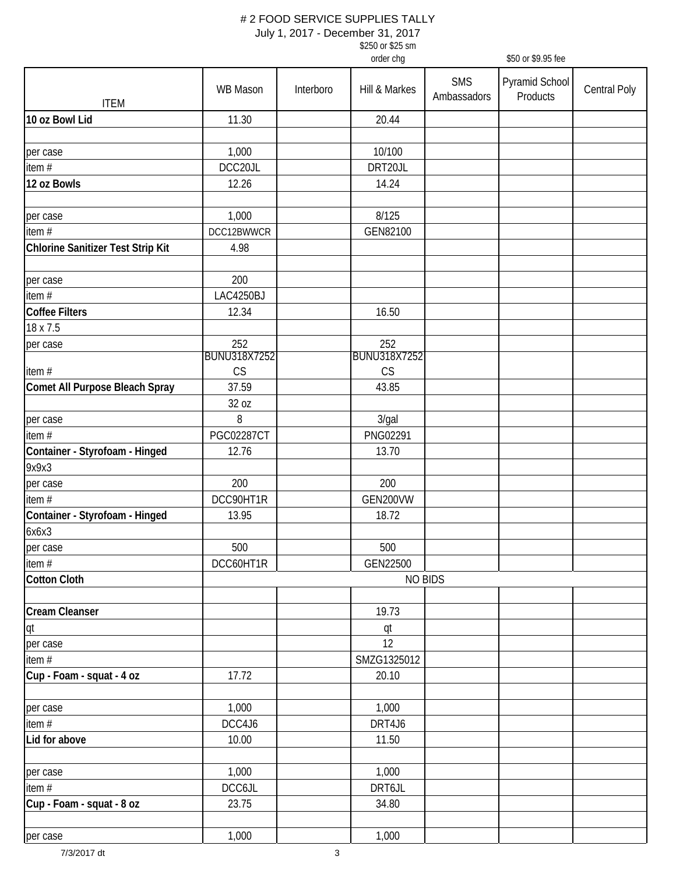|                                          |                           |           | \$250 or \$25 sm          |                           |                            |                     |
|------------------------------------------|---------------------------|-----------|---------------------------|---------------------------|----------------------------|---------------------|
|                                          |                           |           | order chg                 |                           | \$50 or \$9.95 fee         |                     |
| <b>ITEM</b>                              | <b>WB Mason</b>           | Interboro | Hill & Markes             | <b>SMS</b><br>Ambassadors | Pyramid School<br>Products | <b>Central Poly</b> |
| 10 oz Bowl Lid                           | 11.30                     |           | 20.44                     |                           |                            |                     |
| per case                                 | 1,000                     |           | 10/100                    |                           |                            |                     |
| item#                                    | DCC20JL                   |           | DRT20JL                   |                           |                            |                     |
| 12 oz Bowls                              | 12.26                     |           | 14.24                     |                           |                            |                     |
| per case                                 | 1,000                     |           | 8/125                     |                           |                            |                     |
| item $#$                                 | DCC12BWWCR                |           | GEN82100                  |                           |                            |                     |
| <b>Chlorine Sanitizer Test Strip Kit</b> | 4.98                      |           |                           |                           |                            |                     |
| per case                                 | 200                       |           |                           |                           |                            |                     |
| item #                                   | <b>LAC4250BJ</b>          |           |                           |                           |                            |                     |
| <b>Coffee Filters</b>                    | 12.34                     |           | 16.50                     |                           |                            |                     |
| 18 x 7.5                                 |                           |           |                           |                           |                            |                     |
| per case                                 | 252                       |           | 252                       |                           |                            |                     |
| item#                                    | <b>BUNU318X7252</b><br>CS |           | <b>BUNU318X7252</b><br>CS |                           |                            |                     |
|                                          | 37.59                     |           | 43.85                     |                           |                            |                     |
| Comet All Purpose Bleach Spray           | 32 oz                     |           |                           |                           |                            |                     |
| per case                                 | 8                         |           | 3/gal                     |                           |                            |                     |
| item #                                   | <b>PGC02287CT</b>         |           | PNG02291                  |                           |                            |                     |
| Container - Styrofoam - Hinged           | 12.76                     |           | 13.70                     |                           |                            |                     |
| 9x9x3                                    |                           |           |                           |                           |                            |                     |
| per case                                 | 200                       |           | 200                       |                           |                            |                     |
| item #                                   | DCC90HT1R                 |           | GEN200VW                  |                           |                            |                     |
| Container - Styrofoam - Hinged           | 13.95                     |           | 18.72                     |                           |                            |                     |
| 6x6x3                                    |                           |           |                           |                           |                            |                     |
| per case                                 | 500                       |           | 500                       |                           |                            |                     |
| item #                                   | DCC60HT1R                 |           | GEN22500                  |                           |                            |                     |
| <b>Cotton Cloth</b>                      |                           |           |                           | <b>NO BIDS</b>            |                            |                     |
|                                          |                           |           |                           |                           |                            |                     |
| <b>Cream Cleanser</b>                    |                           |           | 19.73                     |                           |                            |                     |
| qt                                       |                           |           | qt                        |                           |                            |                     |
| per case                                 |                           |           | 12                        |                           |                            |                     |
| item #                                   |                           |           | SMZG1325012               |                           |                            |                     |
| Cup - Foam - squat - 4 oz                | 17.72                     |           | 20.10                     |                           |                            |                     |
| per case                                 | 1,000                     |           | 1,000                     |                           |                            |                     |
| item #                                   | DCC4J6                    |           | DRT4J6                    |                           |                            |                     |
| Lid for above                            | 10.00                     |           | 11.50                     |                           |                            |                     |
|                                          |                           |           |                           |                           |                            |                     |
| per case                                 | 1,000                     |           | 1,000                     |                           |                            |                     |
| item #                                   | DCC6JL                    |           | DRT6JL                    |                           |                            |                     |
| Cup - Foam - squat - 8 oz                | 23.75                     |           | 34.80                     |                           |                            |                     |
| per case                                 | 1,000                     |           | 1,000                     |                           |                            |                     |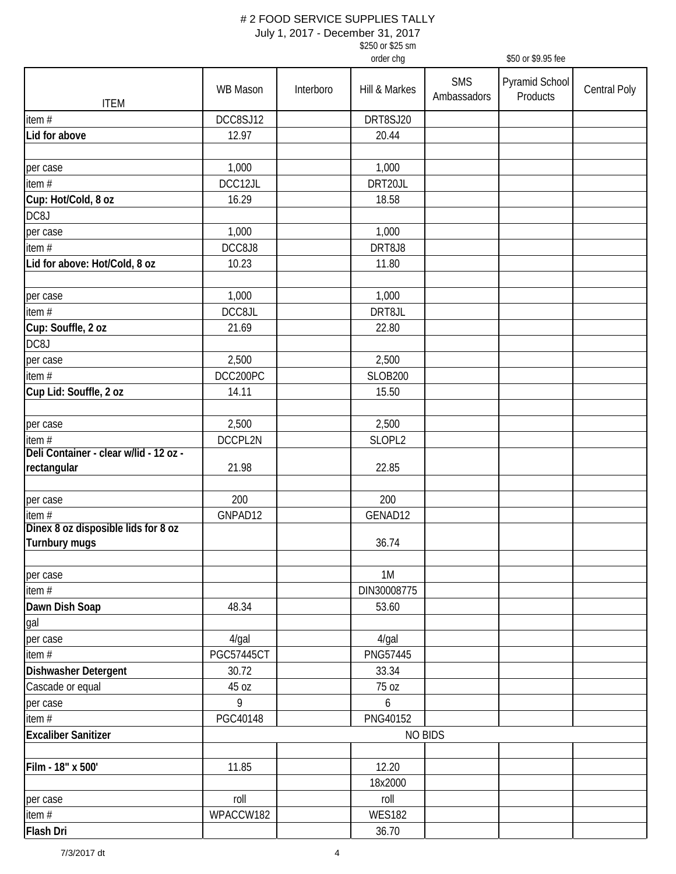| \$250 or \$25 sm |  |
|------------------|--|
| order cha        |  |

| <b>SMS</b><br>Pyramid School<br>WB Mason<br><b>Central Poly</b><br>Interboro<br>Hill & Markes<br>Products<br>Ambassadors<br><b>ITEM</b><br>DCC8SJ12<br>DRT8SJ20<br>item $#$<br>Lid for above<br>12.97<br>20.44<br>1,000<br>1,000<br>per case<br>DCC12JL<br>item#<br>DRT20JL<br>Cup: Hot/Cold, 8 oz<br>16.29<br>18.58<br>DC8J<br>1,000<br>1,000<br>per case<br>item #<br>DCC8J8<br>DRT8J8<br>Lid for above: Hot/Cold, 8 oz<br>10.23<br>11.80<br>1,000<br>1,000<br>per case<br>item $#$<br>DCC8JL<br>DRT8JL<br>Cup: Souffle, 2 oz<br>21.69<br>22.80<br>DC8J<br>2,500<br>2,500<br>per case<br>DCC200PC<br>item $#$<br><b>SLOB200</b><br>Cup Lid: Souffle, 2 oz<br>14.11<br>15.50<br>2,500<br>2,500<br>per case<br>item $#$<br>DCCPL2N<br>SLOPL2<br>21.98<br>22.85<br>200<br>200<br>per case<br>GNPAD12<br>GENAD12<br>Turnbury mugs<br>36.74<br>1M<br>DIN30008775<br>48.34<br>53.60<br>4/gal<br>$4$ /gal<br><b>PGC57445CT</b><br>PNG57445<br>30.72<br>33.34<br>45 oz<br>75 oz<br>9<br>6<br>PGC40148<br>PNG40152<br><b>NO BIDS</b><br>11.85<br>12.20<br>18x2000<br>roll<br>roll<br>per case<br><b>WES182</b><br>WPACCW182<br>36.70 |                                        |  | order chg | \$50 or \$9.95 fee |  |
|-------------------------------------------------------------------------------------------------------------------------------------------------------------------------------------------------------------------------------------------------------------------------------------------------------------------------------------------------------------------------------------------------------------------------------------------------------------------------------------------------------------------------------------------------------------------------------------------------------------------------------------------------------------------------------------------------------------------------------------------------------------------------------------------------------------------------------------------------------------------------------------------------------------------------------------------------------------------------------------------------------------------------------------------------------------------------------------------------------------------------------|----------------------------------------|--|-----------|--------------------|--|
|                                                                                                                                                                                                                                                                                                                                                                                                                                                                                                                                                                                                                                                                                                                                                                                                                                                                                                                                                                                                                                                                                                                               |                                        |  |           |                    |  |
|                                                                                                                                                                                                                                                                                                                                                                                                                                                                                                                                                                                                                                                                                                                                                                                                                                                                                                                                                                                                                                                                                                                               |                                        |  |           |                    |  |
|                                                                                                                                                                                                                                                                                                                                                                                                                                                                                                                                                                                                                                                                                                                                                                                                                                                                                                                                                                                                                                                                                                                               |                                        |  |           |                    |  |
|                                                                                                                                                                                                                                                                                                                                                                                                                                                                                                                                                                                                                                                                                                                                                                                                                                                                                                                                                                                                                                                                                                                               |                                        |  |           |                    |  |
|                                                                                                                                                                                                                                                                                                                                                                                                                                                                                                                                                                                                                                                                                                                                                                                                                                                                                                                                                                                                                                                                                                                               |                                        |  |           |                    |  |
|                                                                                                                                                                                                                                                                                                                                                                                                                                                                                                                                                                                                                                                                                                                                                                                                                                                                                                                                                                                                                                                                                                                               |                                        |  |           |                    |  |
|                                                                                                                                                                                                                                                                                                                                                                                                                                                                                                                                                                                                                                                                                                                                                                                                                                                                                                                                                                                                                                                                                                                               |                                        |  |           |                    |  |
|                                                                                                                                                                                                                                                                                                                                                                                                                                                                                                                                                                                                                                                                                                                                                                                                                                                                                                                                                                                                                                                                                                                               |                                        |  |           |                    |  |
|                                                                                                                                                                                                                                                                                                                                                                                                                                                                                                                                                                                                                                                                                                                                                                                                                                                                                                                                                                                                                                                                                                                               |                                        |  |           |                    |  |
|                                                                                                                                                                                                                                                                                                                                                                                                                                                                                                                                                                                                                                                                                                                                                                                                                                                                                                                                                                                                                                                                                                                               |                                        |  |           |                    |  |
|                                                                                                                                                                                                                                                                                                                                                                                                                                                                                                                                                                                                                                                                                                                                                                                                                                                                                                                                                                                                                                                                                                                               |                                        |  |           |                    |  |
|                                                                                                                                                                                                                                                                                                                                                                                                                                                                                                                                                                                                                                                                                                                                                                                                                                                                                                                                                                                                                                                                                                                               |                                        |  |           |                    |  |
|                                                                                                                                                                                                                                                                                                                                                                                                                                                                                                                                                                                                                                                                                                                                                                                                                                                                                                                                                                                                                                                                                                                               |                                        |  |           |                    |  |
|                                                                                                                                                                                                                                                                                                                                                                                                                                                                                                                                                                                                                                                                                                                                                                                                                                                                                                                                                                                                                                                                                                                               |                                        |  |           |                    |  |
|                                                                                                                                                                                                                                                                                                                                                                                                                                                                                                                                                                                                                                                                                                                                                                                                                                                                                                                                                                                                                                                                                                                               |                                        |  |           |                    |  |
|                                                                                                                                                                                                                                                                                                                                                                                                                                                                                                                                                                                                                                                                                                                                                                                                                                                                                                                                                                                                                                                                                                                               |                                        |  |           |                    |  |
|                                                                                                                                                                                                                                                                                                                                                                                                                                                                                                                                                                                                                                                                                                                                                                                                                                                                                                                                                                                                                                                                                                                               |                                        |  |           |                    |  |
|                                                                                                                                                                                                                                                                                                                                                                                                                                                                                                                                                                                                                                                                                                                                                                                                                                                                                                                                                                                                                                                                                                                               |                                        |  |           |                    |  |
|                                                                                                                                                                                                                                                                                                                                                                                                                                                                                                                                                                                                                                                                                                                                                                                                                                                                                                                                                                                                                                                                                                                               |                                        |  |           |                    |  |
|                                                                                                                                                                                                                                                                                                                                                                                                                                                                                                                                                                                                                                                                                                                                                                                                                                                                                                                                                                                                                                                                                                                               |                                        |  |           |                    |  |
|                                                                                                                                                                                                                                                                                                                                                                                                                                                                                                                                                                                                                                                                                                                                                                                                                                                                                                                                                                                                                                                                                                                               |                                        |  |           |                    |  |
|                                                                                                                                                                                                                                                                                                                                                                                                                                                                                                                                                                                                                                                                                                                                                                                                                                                                                                                                                                                                                                                                                                                               |                                        |  |           |                    |  |
|                                                                                                                                                                                                                                                                                                                                                                                                                                                                                                                                                                                                                                                                                                                                                                                                                                                                                                                                                                                                                                                                                                                               | Deli Container - clear w/lid - 12 oz - |  |           |                    |  |
|                                                                                                                                                                                                                                                                                                                                                                                                                                                                                                                                                                                                                                                                                                                                                                                                                                                                                                                                                                                                                                                                                                                               | rectangular                            |  |           |                    |  |
|                                                                                                                                                                                                                                                                                                                                                                                                                                                                                                                                                                                                                                                                                                                                                                                                                                                                                                                                                                                                                                                                                                                               |                                        |  |           |                    |  |
|                                                                                                                                                                                                                                                                                                                                                                                                                                                                                                                                                                                                                                                                                                                                                                                                                                                                                                                                                                                                                                                                                                                               | item #                                 |  |           |                    |  |
|                                                                                                                                                                                                                                                                                                                                                                                                                                                                                                                                                                                                                                                                                                                                                                                                                                                                                                                                                                                                                                                                                                                               | Dinex 8 oz disposible lids for 8 oz    |  |           |                    |  |
|                                                                                                                                                                                                                                                                                                                                                                                                                                                                                                                                                                                                                                                                                                                                                                                                                                                                                                                                                                                                                                                                                                                               |                                        |  |           |                    |  |
|                                                                                                                                                                                                                                                                                                                                                                                                                                                                                                                                                                                                                                                                                                                                                                                                                                                                                                                                                                                                                                                                                                                               | per case                               |  |           |                    |  |
|                                                                                                                                                                                                                                                                                                                                                                                                                                                                                                                                                                                                                                                                                                                                                                                                                                                                                                                                                                                                                                                                                                                               | item#                                  |  |           |                    |  |
|                                                                                                                                                                                                                                                                                                                                                                                                                                                                                                                                                                                                                                                                                                                                                                                                                                                                                                                                                                                                                                                                                                                               | Dawn Dish Soap                         |  |           |                    |  |
|                                                                                                                                                                                                                                                                                                                                                                                                                                                                                                                                                                                                                                                                                                                                                                                                                                                                                                                                                                                                                                                                                                                               | gal                                    |  |           |                    |  |
|                                                                                                                                                                                                                                                                                                                                                                                                                                                                                                                                                                                                                                                                                                                                                                                                                                                                                                                                                                                                                                                                                                                               | per case                               |  |           |                    |  |
|                                                                                                                                                                                                                                                                                                                                                                                                                                                                                                                                                                                                                                                                                                                                                                                                                                                                                                                                                                                                                                                                                                                               | item#                                  |  |           |                    |  |
|                                                                                                                                                                                                                                                                                                                                                                                                                                                                                                                                                                                                                                                                                                                                                                                                                                                                                                                                                                                                                                                                                                                               | Dishwasher Detergent                   |  |           |                    |  |
|                                                                                                                                                                                                                                                                                                                                                                                                                                                                                                                                                                                                                                                                                                                                                                                                                                                                                                                                                                                                                                                                                                                               | Cascade or equal                       |  |           |                    |  |
|                                                                                                                                                                                                                                                                                                                                                                                                                                                                                                                                                                                                                                                                                                                                                                                                                                                                                                                                                                                                                                                                                                                               | per case                               |  |           |                    |  |
|                                                                                                                                                                                                                                                                                                                                                                                                                                                                                                                                                                                                                                                                                                                                                                                                                                                                                                                                                                                                                                                                                                                               | item $#$                               |  |           |                    |  |
|                                                                                                                                                                                                                                                                                                                                                                                                                                                                                                                                                                                                                                                                                                                                                                                                                                                                                                                                                                                                                                                                                                                               | <b>Excaliber Sanitizer</b>             |  |           |                    |  |
|                                                                                                                                                                                                                                                                                                                                                                                                                                                                                                                                                                                                                                                                                                                                                                                                                                                                                                                                                                                                                                                                                                                               |                                        |  |           |                    |  |
|                                                                                                                                                                                                                                                                                                                                                                                                                                                                                                                                                                                                                                                                                                                                                                                                                                                                                                                                                                                                                                                                                                                               | Film - 18" x 500'                      |  |           |                    |  |
|                                                                                                                                                                                                                                                                                                                                                                                                                                                                                                                                                                                                                                                                                                                                                                                                                                                                                                                                                                                                                                                                                                                               |                                        |  |           |                    |  |
|                                                                                                                                                                                                                                                                                                                                                                                                                                                                                                                                                                                                                                                                                                                                                                                                                                                                                                                                                                                                                                                                                                                               |                                        |  |           |                    |  |
|                                                                                                                                                                                                                                                                                                                                                                                                                                                                                                                                                                                                                                                                                                                                                                                                                                                                                                                                                                                                                                                                                                                               | item $#$                               |  |           |                    |  |
|                                                                                                                                                                                                                                                                                                                                                                                                                                                                                                                                                                                                                                                                                                                                                                                                                                                                                                                                                                                                                                                                                                                               | Flash Dri                              |  |           |                    |  |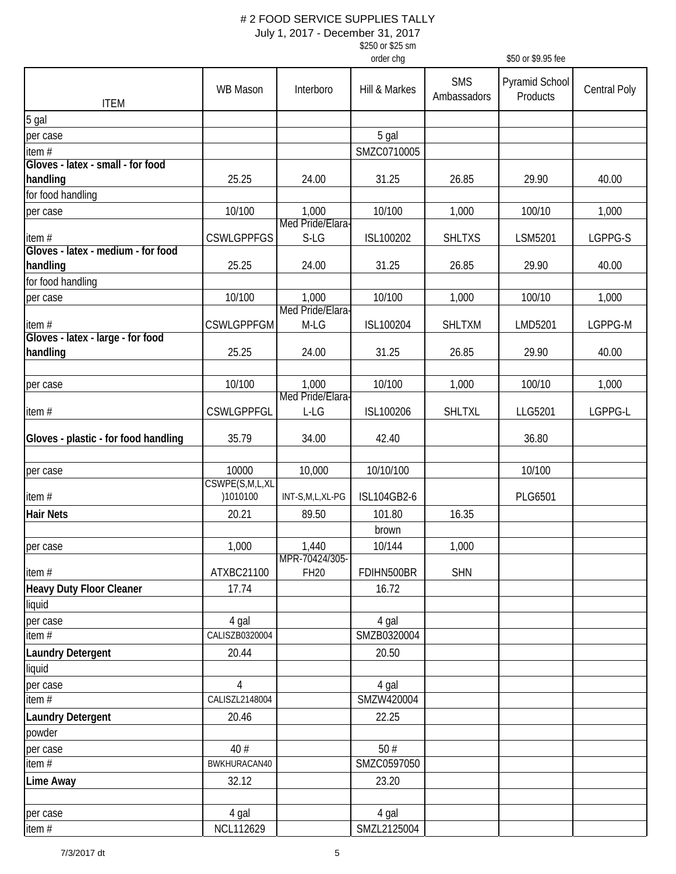| \$250 or \$25 sm |
|------------------|
| order cha        |

|                                      |                         |                               | order chg          |                           | \$50 or \$9.95 fee         |              |
|--------------------------------------|-------------------------|-------------------------------|--------------------|---------------------------|----------------------------|--------------|
| <b>ITEM</b>                          | WB Mason                | Interboro                     | Hill & Markes      | <b>SMS</b><br>Ambassadors | Pyramid School<br>Products | Central Poly |
| 5 gal                                |                         |                               |                    |                           |                            |              |
| per case                             |                         |                               | 5 gal              |                           |                            |              |
| item#                                |                         |                               | SMZC0710005        |                           |                            |              |
| Gloves - latex - small - for food    |                         |                               |                    |                           |                            |              |
| handling                             | 25.25                   | 24.00                         | 31.25              | 26.85                     | 29.90                      | 40.00        |
| for food handling                    |                         |                               |                    |                           |                            |              |
| per case                             | 10/100                  | 1,000                         | 10/100             | 1,000                     | 100/10                     | 1,000        |
|                                      |                         | Med Pride/Elara-              |                    |                           |                            |              |
| item#                                | <b>CSWLGPPFGS</b>       | $S-LG$                        | ISL100202          | <b>SHLTXS</b>             | LSM5201                    | LGPPG-S      |
| Gloves - latex - medium - for food   |                         |                               |                    |                           |                            |              |
| handling                             | 25.25                   | 24.00                         | 31.25              | 26.85                     | 29.90                      | 40.00        |
| for food handling                    |                         |                               |                    |                           |                            |              |
| per case                             | 10/100                  | 1,000                         | 10/100             | 1,000                     | 100/10                     | 1,000        |
|                                      |                         | Med Pride/Elara-              |                    |                           |                            |              |
| item#                                | <b>CSWLGPPFGM</b>       | M-LG                          | ISL100204          | <b>SHLTXM</b>             | LMD5201                    | LGPPG-M      |
| Gloves - latex - large - for food    |                         |                               |                    |                           |                            |              |
| handling                             | 25.25                   | 24.00                         | 31.25              | 26.85                     | 29.90                      | 40.00        |
|                                      |                         |                               |                    |                           |                            |              |
| per case                             | 10/100                  | 1,000                         | 10/100             | 1,000                     | 100/10                     | 1,000        |
|                                      |                         | Med Pride/Elara               |                    |                           |                            |              |
| item#                                | <b>CSWLGPPFGL</b>       | L-LG                          | ISL100206          | <b>SHLTXL</b>             | LLG5201                    | LGPPG-L      |
|                                      |                         |                               |                    |                           |                            |              |
| Gloves - plastic - for food handling | 35.79                   | 34.00                         | 42.40              |                           | 36.80                      |              |
|                                      |                         |                               |                    |                           |                            |              |
| per case                             | 10000<br>CSWPE(S,M,L,XL | 10,000                        | 10/10/100          |                           | 10/100                     |              |
| item#                                | )1010100                | INT-S,M,L,XL-PG               | <b>ISL104GB2-6</b> |                           | PLG6501                    |              |
|                                      |                         |                               |                    |                           |                            |              |
| <b>Hair Nets</b>                     | 20.21                   | 89.50                         | 101.80             | 16.35                     |                            |              |
|                                      |                         |                               | brown              |                           |                            |              |
| per case                             | 1,000                   | 1,440                         | 10/144             | 1,000                     |                            |              |
| item#                                | ATXBC21100              | MPR-70424/305-<br><b>FH20</b> | FDIHN500BR         | <b>SHN</b>                |                            |              |
|                                      |                         |                               |                    |                           |                            |              |
| <b>Heavy Duty Floor Cleaner</b>      | 17.74                   |                               | 16.72              |                           |                            |              |
| liquid                               |                         |                               |                    |                           |                            |              |
| per case                             | 4 gal                   |                               | 4 gal              |                           |                            |              |
| item#                                | CALISZB0320004          |                               | SMZB0320004        |                           |                            |              |
| <b>Laundry Detergent</b>             | 20.44                   |                               | 20.50              |                           |                            |              |
| liquid                               |                         |                               |                    |                           |                            |              |
| per case                             | 4                       |                               | 4 gal              |                           |                            |              |
| item#                                | CALISZL2148004          |                               | SMZW420004         |                           |                            |              |
| <b>Laundry Detergent</b>             | 20.46                   |                               | 22.25              |                           |                            |              |
| powder                               |                         |                               |                    |                           |                            |              |
| per case                             | 40#                     |                               | 50#                |                           |                            |              |
| item $#$                             | BWKHURACAN40            |                               | SMZC0597050        |                           |                            |              |
| Lime Away                            | 32.12                   |                               | 23.20              |                           |                            |              |
|                                      |                         |                               |                    |                           |                            |              |
| per case                             | 4 gal                   |                               | 4 gal              |                           |                            |              |
|                                      |                         |                               |                    |                           |                            |              |
| item $#$                             | NCL112629               |                               | SMZL2125004        |                           |                            |              |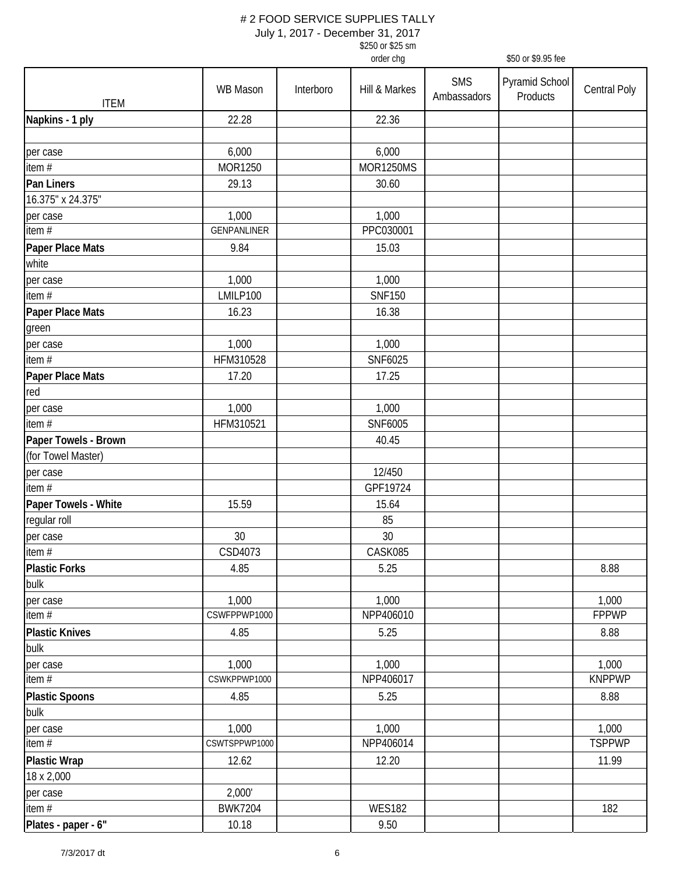| \$250 or \$25 sm |
|------------------|
| order cha        |

|                       |                |           | order chg        |                           | \$50 or \$9.95 fee         |                     |
|-----------------------|----------------|-----------|------------------|---------------------------|----------------------------|---------------------|
| <b>ITEM</b>           | WB Mason       | Interboro | Hill & Markes    | <b>SMS</b><br>Ambassadors | Pyramid School<br>Products | <b>Central Poly</b> |
| Napkins - 1 ply       | 22.28          |           | 22.36            |                           |                            |                     |
|                       |                |           |                  |                           |                            |                     |
| per case              | 6,000          |           | 6,000            |                           |                            |                     |
| item#                 | MOR1250        |           | <b>MOR1250MS</b> |                           |                            |                     |
| Pan Liners            | 29.13          |           | 30.60            |                           |                            |                     |
| 16.375" x 24.375"     |                |           |                  |                           |                            |                     |
| per case              | 1,000          |           | 1,000            |                           |                            |                     |
| item $#$              | GENPANLINER    |           | PPC030001        |                           |                            |                     |
| Paper Place Mats      | 9.84           |           | 15.03            |                           |                            |                     |
| white                 |                |           |                  |                           |                            |                     |
| per case              | 1,000          |           | 1,000            |                           |                            |                     |
| item #                | LMILP100       |           | <b>SNF150</b>    |                           |                            |                     |
| Paper Place Mats      | 16.23          |           | 16.38            |                           |                            |                     |
| green                 |                |           |                  |                           |                            |                     |
| per case              | 1,000          |           | 1,000            |                           |                            |                     |
| item#                 | HFM310528      |           | SNF6025          |                           |                            |                     |
| Paper Place Mats      | 17.20          |           | 17.25            |                           |                            |                     |
| red                   |                |           |                  |                           |                            |                     |
| per case              | 1,000          |           | 1,000            |                           |                            |                     |
| item $#$              | HFM310521      |           | SNF6005          |                           |                            |                     |
| Paper Towels - Brown  |                |           | 40.45            |                           |                            |                     |
| (for Towel Master)    |                |           |                  |                           |                            |                     |
| per case              |                |           | 12/450           |                           |                            |                     |
| item #                |                |           | GPF19724         |                           |                            |                     |
| Paper Towels - White  | 15.59          |           | 15.64            |                           |                            |                     |
| regular roll          |                |           | 85               |                           |                            |                     |
| per case              | 30             |           | $30\,$           |                           |                            |                     |
| item#                 | CSD4073        |           | CASK085          |                           |                            |                     |
| <b>Plastic Forks</b>  | 4.85           |           | 5.25             |                           |                            | 8.88                |
| bulk                  |                |           |                  |                           |                            |                     |
| per case              | 1,000          |           | 1,000            |                           |                            | 1,000               |
| item #                | CSWFPPWP1000   |           | NPP406010        |                           |                            | <b>FPPWP</b>        |
| <b>Plastic Knives</b> | 4.85           |           | 5.25             |                           |                            | 8.88                |
| bulk                  |                |           |                  |                           |                            |                     |
| per case              | 1,000          |           | 1,000            |                           |                            | 1,000               |
| item #                | CSWKPPWP1000   |           | NPP406017        |                           |                            | <b>KNPPWP</b>       |
| <b>Plastic Spoons</b> | 4.85           |           | 5.25             |                           |                            | 8.88                |
| bulk                  |                |           |                  |                           |                            |                     |
| per case              | 1,000          |           | 1,000            |                           |                            | 1,000               |
| item#                 | CSWTSPPWP1000  |           | NPP406014        |                           |                            | <b>TSPPWP</b>       |
| <b>Plastic Wrap</b>   | 12.62          |           | 12.20            |                           |                            | 11.99               |
| 18 x 2,000            |                |           |                  |                           |                            |                     |
| per case              | 2,000'         |           |                  |                           |                            |                     |
| item #                | <b>BWK7204</b> |           | <b>WES182</b>    |                           |                            | 182                 |
| Plates - paper - 6"   | 10.18          |           | 9.50             |                           |                            |                     |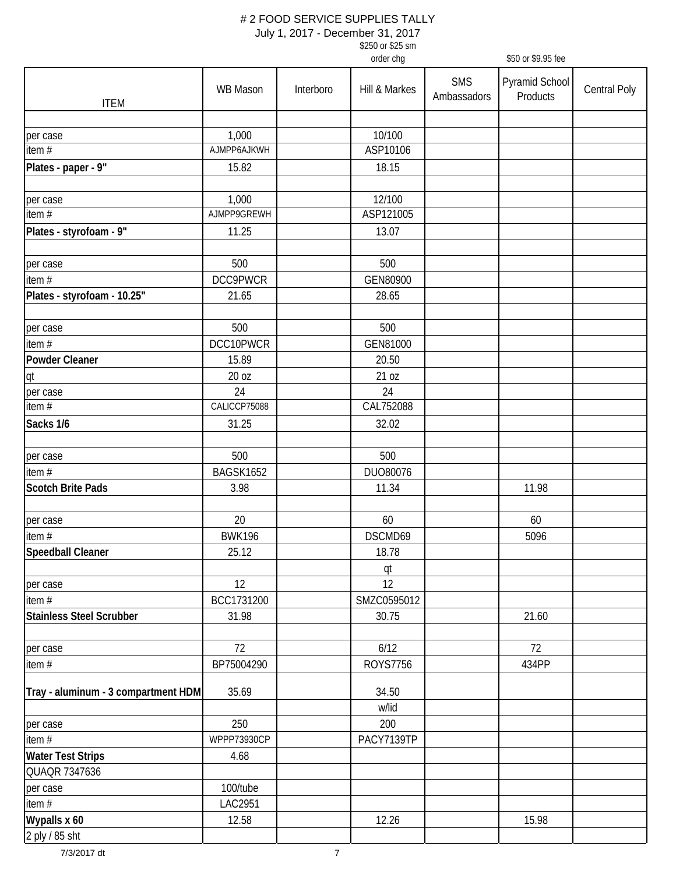|                                     |               |           | \$250 or \$25 sm |                           |                            |                     |
|-------------------------------------|---------------|-----------|------------------|---------------------------|----------------------------|---------------------|
|                                     |               |           | order chg        |                           | \$50 or \$9.95 fee         |                     |
| <b>ITEM</b>                         | WB Mason      | Interboro | Hill & Markes    | <b>SMS</b><br>Ambassadors | Pyramid School<br>Products | <b>Central Poly</b> |
|                                     |               |           |                  |                           |                            |                     |
| per case                            | 1,000         |           | 10/100           |                           |                            |                     |
| item $#$                            | AJMPP6AJKWH   |           | ASP10106         |                           |                            |                     |
| Plates - paper - 9"                 | 15.82         |           | 18.15            |                           |                            |                     |
|                                     |               |           |                  |                           |                            |                     |
| per case                            | 1,000         |           | 12/100           |                           |                            |                     |
| item $#$                            | AJMPP9GREWH   |           | ASP121005        |                           |                            |                     |
| Plates - styrofoam - 9"             | 11.25         |           | 13.07            |                           |                            |                     |
| per case                            | 500           |           | 500              |                           |                            |                     |
| item #                              | DCC9PWCR      |           | GEN80900         |                           |                            |                     |
| Plates - styrofoam - 10.25"         | 21.65         |           | 28.65            |                           |                            |                     |
|                                     |               |           |                  |                           |                            |                     |
| per case                            | 500           |           | 500              |                           |                            |                     |
| item $#$                            | DCC10PWCR     |           | GEN81000         |                           |                            |                     |
| <b>Powder Cleaner</b>               | 15.89         |           | 20.50            |                           |                            |                     |
| qt                                  | 20 oz         |           | 21 oz            |                           |                            |                     |
| per case                            | 24            |           | 24               |                           |                            |                     |
| item $#$                            | CALICCP75088  |           | CAL752088        |                           |                            |                     |
| Sacks 1/6                           | 31.25         |           | 32.02            |                           |                            |                     |
| per case                            | 500           |           | 500              |                           |                            |                     |
| item#                               | BAGSK1652     |           | DU080076         |                           |                            |                     |
| <b>Scotch Brite Pads</b>            | 3.98          |           | 11.34            |                           | 11.98                      |                     |
| per case                            | 20            |           | 60               |                           | 60                         |                     |
| item $#$                            | <b>BWK196</b> |           | DSCMD69          |                           | 5096                       |                     |
| Speedball Cleaner                   | 25.12         |           | 18.78            |                           |                            |                     |
|                                     |               |           | qt               |                           |                            |                     |
| per case                            | 12            |           | 12               |                           |                            |                     |
| item $#$                            | BCC1731200    |           | SMZC0595012      |                           |                            |                     |
| <b>Stainless Steel Scrubber</b>     | 31.98         |           | 30.75            |                           | 21.60                      |                     |
|                                     |               |           |                  |                           |                            |                     |
| per case                            | 72            |           | 6/12             |                           | 72                         |                     |
| item#                               | BP75004290    |           | <b>ROYS7756</b>  |                           | 434PP                      |                     |
| Tray - aluminum - 3 compartment HDM | 35.69         |           | 34.50<br>w/lid   |                           |                            |                     |
| per case                            | 250           |           | 200              |                           |                            |                     |
| item $#$                            | WPPP73930CP   |           | PACY7139TP       |                           |                            |                     |
| <b>Water Test Strips</b>            | 4.68          |           |                  |                           |                            |                     |
| QUAQR 7347636                       |               |           |                  |                           |                            |                     |
| per case                            | 100/tube      |           |                  |                           |                            |                     |
| item $#$                            | LAC2951       |           |                  |                           |                            |                     |
| Wypalls x 60                        | 12.58         |           | 12.26            |                           | 15.98                      |                     |
| 2 ply / 85 sht                      |               |           |                  |                           |                            |                     |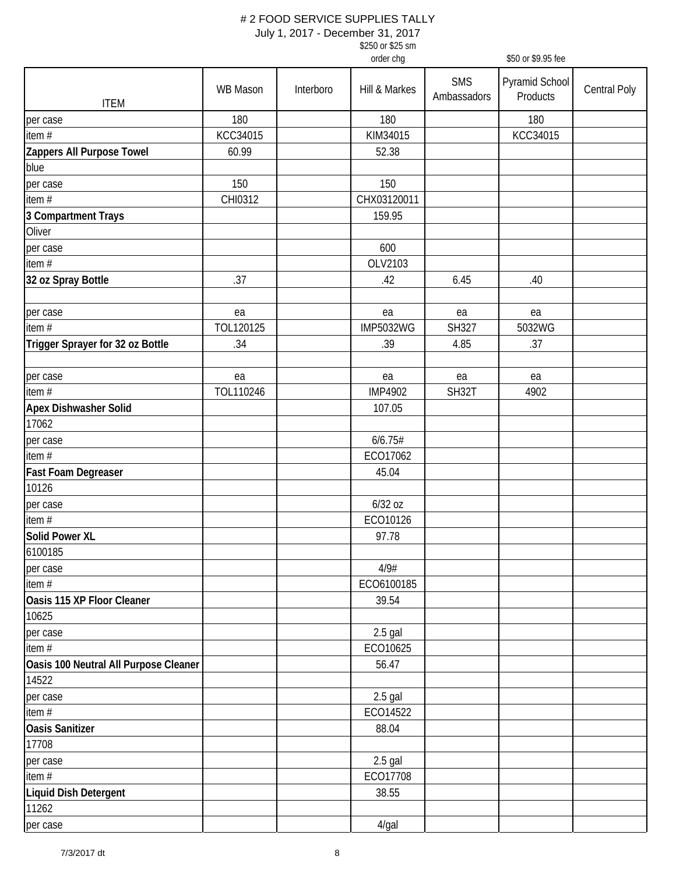| \$250 or \$25 sm |  |
|------------------|--|
| order cha        |  |

|                                       |                 |           | order chg        |                           | \$50 or \$9.95 fee         |                     |
|---------------------------------------|-----------------|-----------|------------------|---------------------------|----------------------------|---------------------|
| <b>ITEM</b>                           | <b>WB Mason</b> | Interboro | Hill & Markes    | <b>SMS</b><br>Ambassadors | Pyramid School<br>Products | <b>Central Poly</b> |
| per case                              | 180             |           | 180              |                           | 180                        |                     |
| item $#$                              | KCC34015        |           | KIM34015         |                           | KCC34015                   |                     |
| Zappers All Purpose Towel             | 60.99           |           | 52.38            |                           |                            |                     |
| blue                                  |                 |           |                  |                           |                            |                     |
| per case                              | 150             |           | 150              |                           |                            |                     |
| item #                                | CHI0312         |           | CHX03120011      |                           |                            |                     |
| 3 Compartment Trays                   |                 |           | 159.95           |                           |                            |                     |
| Oliver                                |                 |           |                  |                           |                            |                     |
| per case                              |                 |           | 600              |                           |                            |                     |
| item#                                 |                 |           | OLV2103          |                           |                            |                     |
| 32 oz Spray Bottle                    | .37             |           | .42              | 6.45                      | .40                        |                     |
|                                       |                 |           |                  |                           |                            |                     |
| per case                              | ea              |           | ea               | ea                        | ea                         |                     |
| item #                                | TOL120125       |           | <b>IMP5032WG</b> | SH327                     | 5032WG                     |                     |
| Trigger Sprayer for 32 oz Bottle      | .34             |           | .39              | 4.85                      | .37                        |                     |
|                                       |                 |           |                  |                           |                            |                     |
| per case                              | ea              |           | ea               | ea                        | ea                         |                     |
| item $#$                              | TOL110246       |           | <b>IMP4902</b>   | SH32T                     | 4902                       |                     |
| Apex Dishwasher Solid                 |                 |           | 107.05           |                           |                            |                     |
| 17062                                 |                 |           |                  |                           |                            |                     |
| per case                              |                 |           | 6/6.75#          |                           |                            |                     |
| item#                                 |                 |           | ECO17062         |                           |                            |                     |
| Fast Foam Degreaser                   |                 |           | 45.04            |                           |                            |                     |
| 10126                                 |                 |           |                  |                           |                            |                     |
| per case                              |                 |           | 6/32 oz          |                           |                            |                     |
| item #                                |                 |           | ECO10126         |                           |                            |                     |
| <b>Solid Power XL</b>                 |                 |           | 97.78            |                           |                            |                     |
| 6100185                               |                 |           |                  |                           |                            |                     |
| per case                              |                 |           | 4/9#             |                           |                            |                     |
| item #                                |                 |           | ECO6100185       |                           |                            |                     |
| Oasis 115 XP Floor Cleaner            |                 |           | 39.54            |                           |                            |                     |
| 10625                                 |                 |           |                  |                           |                            |                     |
| per case                              |                 |           | $2.5$ gal        |                           |                            |                     |
| item #                                |                 |           | ECO10625         |                           |                            |                     |
| Oasis 100 Neutral All Purpose Cleaner |                 |           | 56.47            |                           |                            |                     |
| 14522                                 |                 |           |                  |                           |                            |                     |
| per case                              |                 |           | $2.5$ gal        |                           |                            |                     |
| item #                                |                 |           | ECO14522         |                           |                            |                     |
| <b>Oasis Sanitizer</b>                |                 |           | 88.04            |                           |                            |                     |
| 17708                                 |                 |           |                  |                           |                            |                     |
| per case                              |                 |           | $2.5$ gal        |                           |                            |                     |
| item $#$                              |                 |           | ECO17708         |                           |                            |                     |
| <b>Liquid Dish Detergent</b>          |                 |           | 38.55            |                           |                            |                     |
| 11262                                 |                 |           |                  |                           |                            |                     |
| per case                              |                 |           | 4/gal            |                           |                            |                     |
|                                       |                 |           |                  |                           |                            |                     |